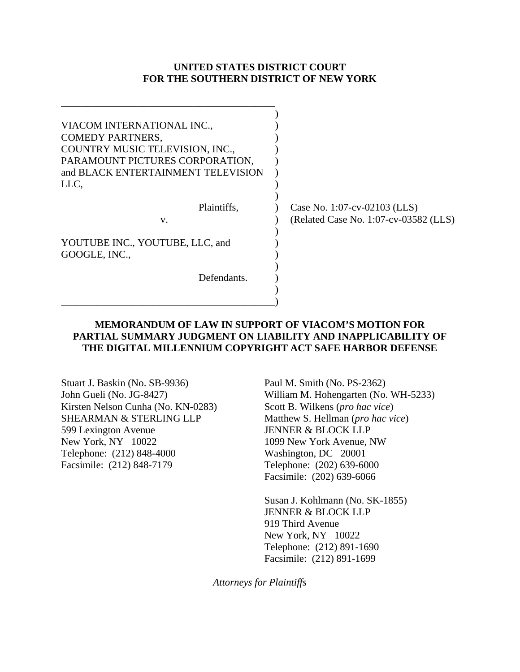### **UNITED STATES DISTRICT COURT FOR THE SOUTHERN DISTRICT OF NEW YORK**

| VIACOM INTERNATIONAL INC.,<br><b>COMEDY PARTNERS,</b><br>COUNTRY MUSIC TELEVISION, INC.,<br>PARAMOUNT PICTURES CORPORATION,<br>and BLACK ENTERTAINMENT TELEVISION |                                                                       |
|-------------------------------------------------------------------------------------------------------------------------------------------------------------------|-----------------------------------------------------------------------|
| LLC,                                                                                                                                                              |                                                                       |
| Plaintiffs.<br>V.                                                                                                                                                 | Case No. 1:07-cv-02103 (LLS)<br>(Related Case No. 1:07-cv-03582 (LLS) |
| YOUTUBE INC., YOUTUBE, LLC, and<br>GOOGLE, INC.,                                                                                                                  |                                                                       |
| Defendants.                                                                                                                                                       |                                                                       |

### **MEMORANDUM OF LAW IN SUPPORT OF VIACOM'S MOTION FOR PARTIAL SUMMARY JUDGMENT ON LIABILITY AND INAPPLICABILITY OF THE DIGITAL MILLENNIUM COPYRIGHT ACT SAFE HARBOR DEFENSE**

Stuart J. Baskin (No. SB-9936) John Gueli (No. JG-8427) Kirsten Nelson Cunha (No. KN-0283) SHEARMAN & STERLING LLP 599 Lexington Avenue New York, NY 10022 Telephone: (212) 848-4000 Facsimile: (212) 848-7179

\_\_\_\_\_\_\_\_\_\_\_\_\_\_\_\_\_\_\_\_\_\_\_\_\_\_\_\_\_\_\_\_\_\_\_\_\_\_\_\_\_\_

\_\_\_\_\_\_\_\_\_\_\_\_\_\_\_\_\_\_\_\_\_\_\_\_\_\_\_\_\_\_\_\_\_\_\_\_\_\_\_\_\_\_)

Paul M. Smith (No. PS-2362) William M. Hohengarten (No. WH-5233) Scott B. Wilkens (*pro hac vice*) Matthew S. Hellman (*pro hac vice*) JENNER & BLOCK LLP 1099 New York Avenue, NW Washington, DC 20001 Telephone: (202) 639-6000 Facsimile: (202) 639-6066

Susan J. Kohlmann (No. SK-1855) JENNER & BLOCK LLP 919 Third Avenue New York, NY 10022 Telephone: (212) 891-1690 Facsimile: (212) 891-1699

*Attorneys for Plaintiffs*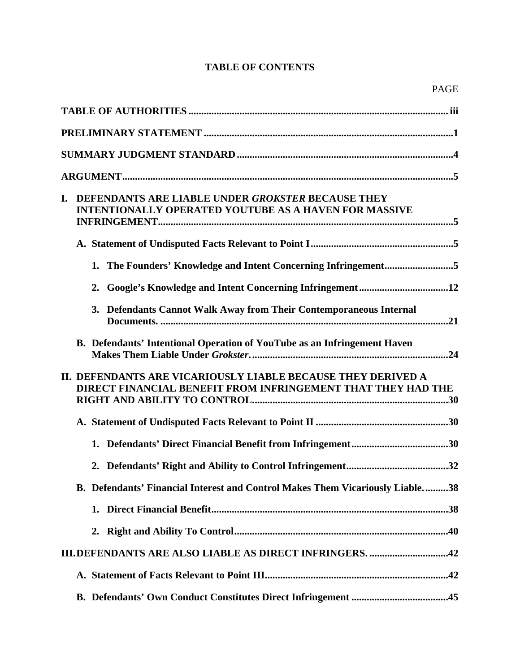# **TABLE OF CONTENTS**

| I. | DEFENDANTS ARE LIABLE UNDER GROKSTER BECAUSE THEY<br><b>INTENTIONALLY OPERATED YOUTUBE AS A HAVEN FOR MASSIVE</b>                   |
|----|-------------------------------------------------------------------------------------------------------------------------------------|
|    |                                                                                                                                     |
|    | 1. The Founders' Knowledge and Intent Concerning Infringement5                                                                      |
|    |                                                                                                                                     |
|    | 3. Defendants Cannot Walk Away from Their Contemporaneous Internal                                                                  |
|    | B. Defendants' Intentional Operation of YouTube as an Infringement Haven                                                            |
|    | II. DEFENDANTS ARE VICARIOUSLY LIABLE BECAUSE THEY DERIVED A<br><b>DIRECT FINANCIAL BENEFIT FROM INFRINGEMENT THAT THEY HAD THE</b> |
|    |                                                                                                                                     |
|    |                                                                                                                                     |
|    |                                                                                                                                     |
|    | B. Defendants' Financial Interest and Control Makes Them Vicariously Liable38                                                       |
|    |                                                                                                                                     |
|    | 2.                                                                                                                                  |
|    | <b>III.DEFENDANTS ARE ALSO LIABLE AS DIRECT INFRINGERS. 42</b>                                                                      |
|    |                                                                                                                                     |
|    |                                                                                                                                     |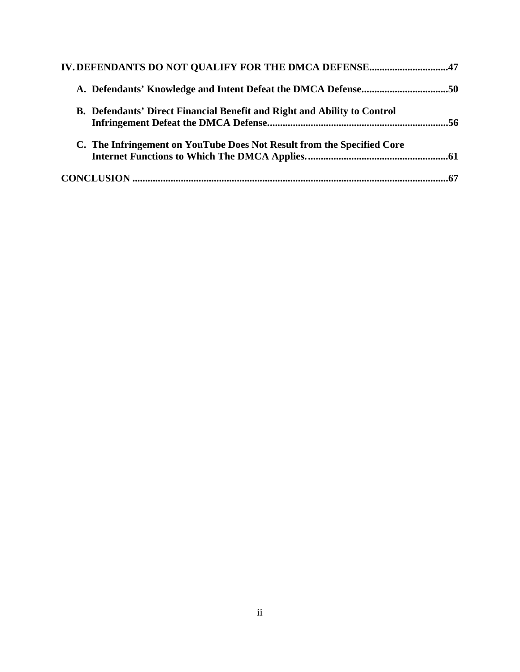| IV. DEFENDANTS DO NOT QUALIFY FOR THE DMCA DEFENSE47                     |  |
|--------------------------------------------------------------------------|--|
| A. Defendants' Knowledge and Intent Defeat the DMCA Defense50            |  |
| B. Defendants' Direct Financial Benefit and Right and Ability to Control |  |
| C. The Infringement on YouTube Does Not Result from the Specified Core   |  |
|                                                                          |  |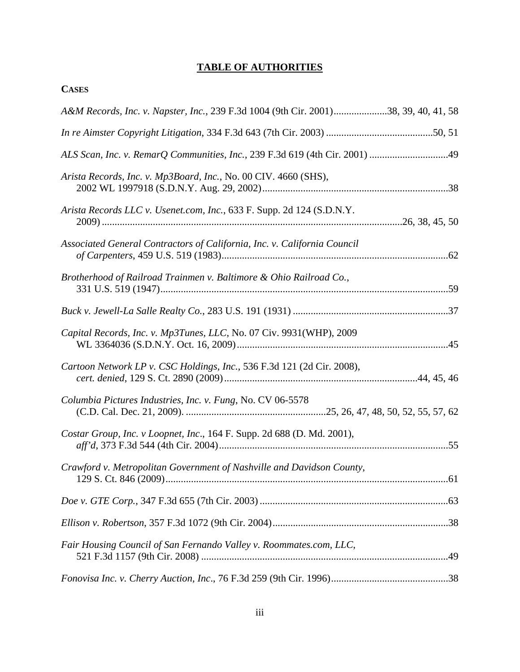# **TABLE OF AUTHORITIES**

| A&M Records, Inc. v. Napster, Inc., 239 F.3d 1004 (9th Cir. 2001)38, 39, 40, 41, 58 |
|-------------------------------------------------------------------------------------|
|                                                                                     |
|                                                                                     |
| Arista Records, Inc. v. Mp3Board, Inc., No. 00 CIV. 4660 (SHS),                     |
| Arista Records LLC v. Usenet.com, Inc., 633 F. Supp. 2d 124 (S.D.N.Y.               |
| Associated General Contractors of California, Inc. v. California Council            |
| Brotherhood of Railroad Trainmen v. Baltimore & Ohio Railroad Co.,                  |
|                                                                                     |
| Capital Records, Inc. v. Mp3Tunes, LLC, No. 07 Civ. 9931(WHP), 2009                 |
| Cartoon Network LP v. CSC Holdings, Inc., 536 F.3d 121 (2d Cir. 2008),              |
| Columbia Pictures Industries, Inc. v. Fung, No. CV 06-5578                          |
| Costar Group, Inc. v Loopnet, Inc., 164 F. Supp. 2d 688 (D. Md. 2001),              |
| Crawford v. Metropolitan Government of Nashville and Davidson County,               |
|                                                                                     |
|                                                                                     |
| Fair Housing Council of San Fernando Valley v. Roommates.com, LLC,                  |
|                                                                                     |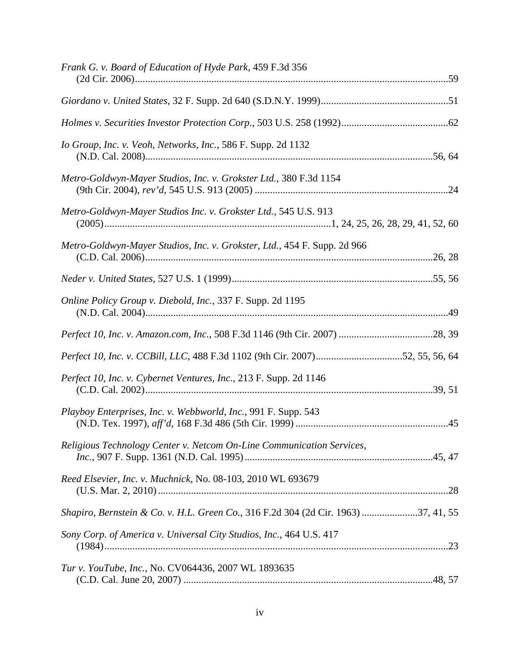| Frank G. v. Board of Education of Hyde Park, 459 F.3d 356                          |  |
|------------------------------------------------------------------------------------|--|
|                                                                                    |  |
|                                                                                    |  |
|                                                                                    |  |
| Io Group, Inc. v. Veoh, Networks, Inc., 586 F. Supp. 2d 1132                       |  |
| Metro-Goldwyn-Mayer Studios, Inc. v. Grokster Ltd., 380 F.3d 1154                  |  |
| Metro-Goldwyn-Mayer Studios Inc. v. Grokster Ltd., 545 U.S. 913                    |  |
| Metro-Goldwyn-Mayer Studios, Inc. v. Grokster, Ltd., 454 F. Supp. 2d 966           |  |
|                                                                                    |  |
| Online Policy Group v. Diebold, Inc., 337 F. Supp. 2d 1195                         |  |
|                                                                                    |  |
| Perfect 10, Inc. v. CCBill, LLC, 488 F.3d 1102 (9th Cir. 2007)52, 55, 56, 64       |  |
| Perfect 10, Inc. v. Cybernet Ventures, Inc., 213 F. Supp. 2d 1146                  |  |
| Playboy Enterprises, Inc. v. Webbworld, Inc., 991 F. Supp. 543                     |  |
| Religious Technology Center v. Netcom On-Line Communication Services,              |  |
| Reed Elsevier, Inc. v. Muchnick, No. 08-103, 2010 WL 693679                        |  |
| Shapiro, Bernstein & Co. v. H.L. Green Co., 316 F.2d 304 (2d Cir. 1963) 37, 41, 55 |  |
| Sony Corp. of America v. Universal City Studios, Inc., 464 U.S. 417                |  |
| Tur v. YouTube, Inc., No. CV064436, 2007 WL 1893635                                |  |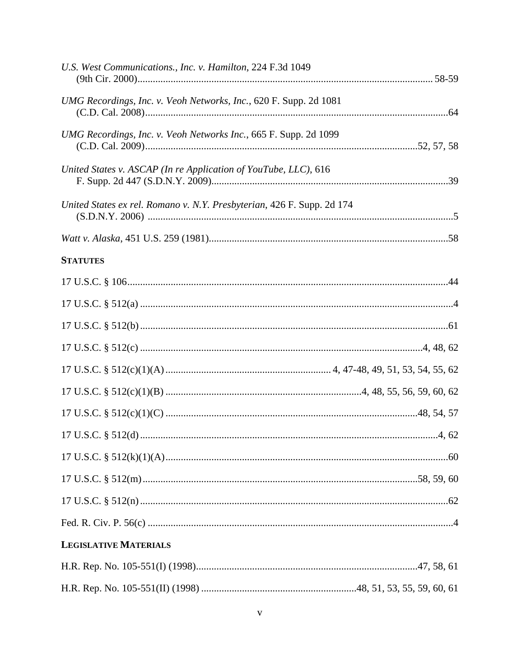| U.S. West Communications., Inc. v. Hamilton, 224 F.3d 1049             |  |
|------------------------------------------------------------------------|--|
| UMG Recordings, Inc. v. Veoh Networks, Inc., 620 F. Supp. 2d 1081      |  |
| UMG Recordings, Inc. v. Veoh Networks Inc., 665 F. Supp. 2d 1099       |  |
| United States v. ASCAP (In re Application of YouTube, LLC), 616        |  |
| United States ex rel. Romano v. N.Y. Presbyterian, 426 F. Supp. 2d 174 |  |
|                                                                        |  |
| <b>STATUTES</b>                                                        |  |
|                                                                        |  |
|                                                                        |  |
|                                                                        |  |
|                                                                        |  |
|                                                                        |  |
|                                                                        |  |
|                                                                        |  |
|                                                                        |  |
|                                                                        |  |
|                                                                        |  |
|                                                                        |  |
|                                                                        |  |
| <b>LEGISLATIVE MATERIALS</b>                                           |  |
|                                                                        |  |
|                                                                        |  |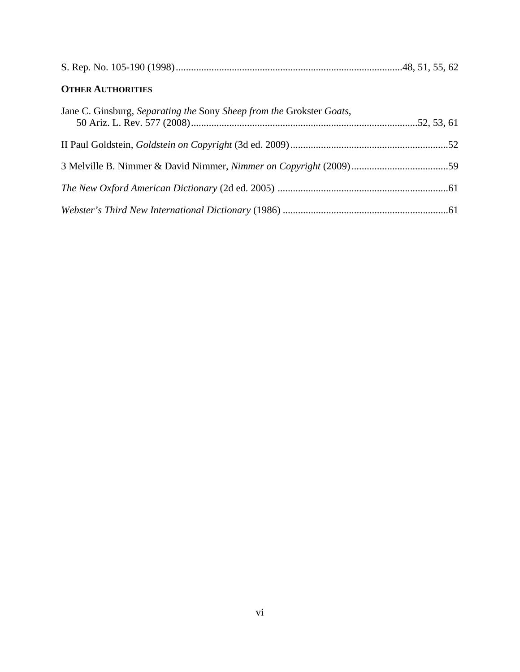|--|

# **OTHER AUTHORITIES**

| Jane C. Ginsburg, Separating the Sony Sheep from the Grokster Goats, |  |
|----------------------------------------------------------------------|--|
|                                                                      |  |
|                                                                      |  |
|                                                                      |  |
|                                                                      |  |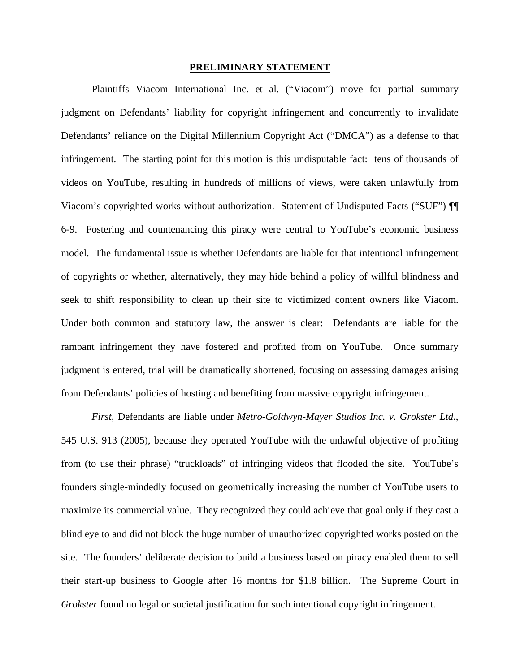#### **PRELIMINARY STATEMENT**

Plaintiffs Viacom International Inc. et al. ("Viacom") move for partial summary judgment on Defendants' liability for copyright infringement and concurrently to invalidate Defendants' reliance on the Digital Millennium Copyright Act ("DMCA") as a defense to that infringement. The starting point for this motion is this undisputable fact: tens of thousands of videos on YouTube, resulting in hundreds of millions of views, were taken unlawfully from Viacom's copyrighted works without authorization. Statement of Undisputed Facts ("SUF") ¶¶ 6-9. Fostering and countenancing this piracy were central to YouTube's economic business model. The fundamental issue is whether Defendants are liable for that intentional infringement of copyrights or whether, alternatively, they may hide behind a policy of willful blindness and seek to shift responsibility to clean up their site to victimized content owners like Viacom. Under both common and statutory law, the answer is clear: Defendants are liable for the rampant infringement they have fostered and profited from on YouTube. Once summary judgment is entered, trial will be dramatically shortened, focusing on assessing damages arising from Defendants' policies of hosting and benefiting from massive copyright infringement.

*First*, Defendants are liable under *Metro-Goldwyn-Mayer Studios Inc. v. Grokster Ltd.*, 545 U.S. 913 (2005), because they operated YouTube with the unlawful objective of profiting from (to use their phrase) "truckloads" of infringing videos that flooded the site. YouTube's founders single-mindedly focused on geometrically increasing the number of YouTube users to maximize its commercial value. They recognized they could achieve that goal only if they cast a blind eye to and did not block the huge number of unauthorized copyrighted works posted on the site. The founders' deliberate decision to build a business based on piracy enabled them to sell their start-up business to Google after 16 months for \$1.8 billion. The Supreme Court in *Grokster* found no legal or societal justification for such intentional copyright infringement.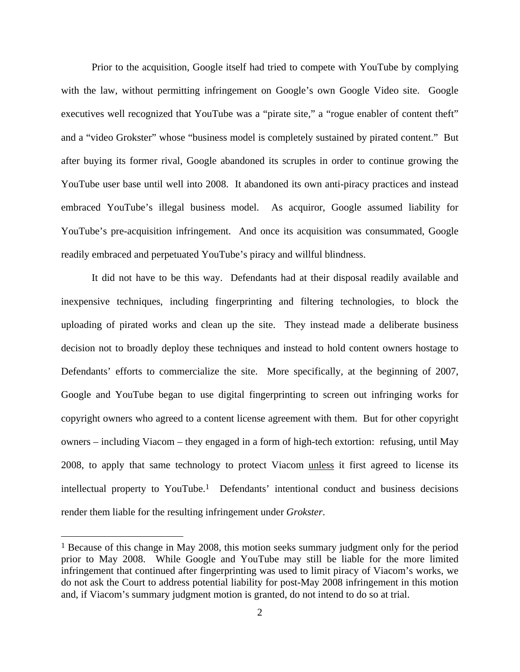Prior to the acquisition, Google itself had tried to compete with YouTube by complying with the law, without permitting infringement on Google's own Google Video site. Google executives well recognized that YouTube was a "pirate site," a "rogue enabler of content theft" and a "video Grokster" whose "business model is completely sustained by pirated content." But after buying its former rival, Google abandoned its scruples in order to continue growing the YouTube user base until well into 2008. It abandoned its own anti-piracy practices and instead embraced YouTube's illegal business model. As acquiror, Google assumed liability for YouTube's pre-acquisition infringement. And once its acquisition was consummated, Google readily embraced and perpetuated YouTube's piracy and willful blindness.

It did not have to be this way. Defendants had at their disposal readily available and inexpensive techniques, including fingerprinting and filtering technologies, to block the uploading of pirated works and clean up the site. They instead made a deliberate business decision not to broadly deploy these techniques and instead to hold content owners hostage to Defendants' efforts to commercialize the site. More specifically, at the beginning of 2007, Google and YouTube began to use digital fingerprinting to screen out infringing works for copyright owners who agreed to a content license agreement with them. But for other copyright owners – including Viacom – they engaged in a form of high-tech extortion: refusing, until May 2008, to apply that same technology to protect Viacom unless it first agreed to license its intellectual property to YouTube.1 Defendants' intentional conduct and business decisions render them liable for the resulting infringement under *Grokster*.

<sup>1</sup> Because of this change in May 2008, this motion seeks summary judgment only for the period prior to May 2008. While Google and YouTube may still be liable for the more limited infringement that continued after fingerprinting was used to limit piracy of Viacom's works, we do not ask the Court to address potential liability for post-May 2008 infringement in this motion and, if Viacom's summary judgment motion is granted, do not intend to do so at trial.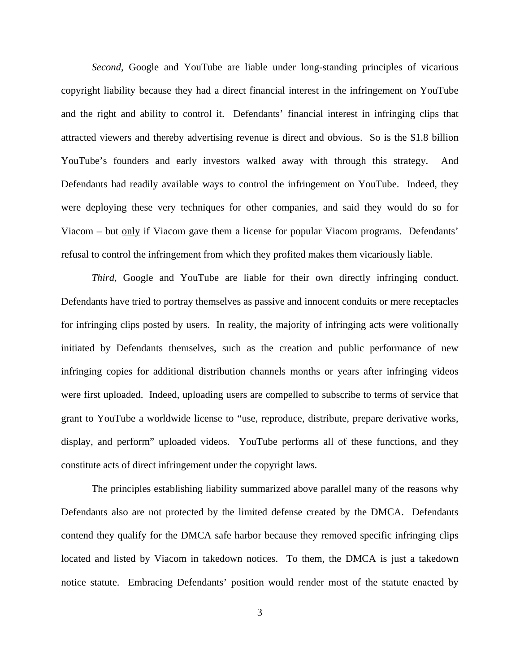*Second*, Google and YouTube are liable under long-standing principles of vicarious copyright liability because they had a direct financial interest in the infringement on YouTube and the right and ability to control it. Defendants' financial interest in infringing clips that attracted viewers and thereby advertising revenue is direct and obvious. So is the \$1.8 billion YouTube's founders and early investors walked away with through this strategy. And Defendants had readily available ways to control the infringement on YouTube. Indeed, they were deploying these very techniques for other companies, and said they would do so for Viacom – but only if Viacom gave them a license for popular Viacom programs. Defendants' refusal to control the infringement from which they profited makes them vicariously liable.

*Third*, Google and YouTube are liable for their own directly infringing conduct. Defendants have tried to portray themselves as passive and innocent conduits or mere receptacles for infringing clips posted by users. In reality, the majority of infringing acts were volitionally initiated by Defendants themselves, such as the creation and public performance of new infringing copies for additional distribution channels months or years after infringing videos were first uploaded. Indeed, uploading users are compelled to subscribe to terms of service that grant to YouTube a worldwide license to "use, reproduce, distribute, prepare derivative works, display, and perform" uploaded videos. YouTube performs all of these functions, and they constitute acts of direct infringement under the copyright laws.

The principles establishing liability summarized above parallel many of the reasons why Defendants also are not protected by the limited defense created by the DMCA. Defendants contend they qualify for the DMCA safe harbor because they removed specific infringing clips located and listed by Viacom in takedown notices. To them, the DMCA is just a takedown notice statute. Embracing Defendants' position would render most of the statute enacted by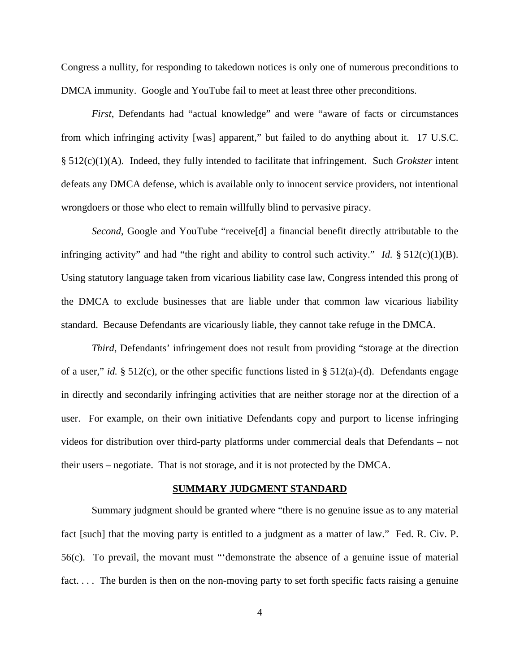Congress a nullity, for responding to takedown notices is only one of numerous preconditions to DMCA immunity. Google and YouTube fail to meet at least three other preconditions.

*First*, Defendants had "actual knowledge" and were "aware of facts or circumstances from which infringing activity [was] apparent," but failed to do anything about it. 17 U.S.C. § 512(c)(1)(A). Indeed, they fully intended to facilitate that infringement. Such *Grokster* intent defeats any DMCA defense, which is available only to innocent service providers, not intentional wrongdoers or those who elect to remain willfully blind to pervasive piracy.

*Second*, Google and YouTube "receive<sup>[d]</sup> a financial benefit directly attributable to the infringing activity" and had "the right and ability to control such activity." *Id.* § 512(c)(1)(B). Using statutory language taken from vicarious liability case law, Congress intended this prong of the DMCA to exclude businesses that are liable under that common law vicarious liability standard. Because Defendants are vicariously liable, they cannot take refuge in the DMCA.

*Third*, Defendants' infringement does not result from providing "storage at the direction of a user," *id.* § 512(c), or the other specific functions listed in § 512(a)-(d). Defendants engage in directly and secondarily infringing activities that are neither storage nor at the direction of a user. For example, on their own initiative Defendants copy and purport to license infringing videos for distribution over third-party platforms under commercial deals that Defendants – not their users – negotiate. That is not storage, and it is not protected by the DMCA.

#### **SUMMARY JUDGMENT STANDARD**

Summary judgment should be granted where "there is no genuine issue as to any material fact [such] that the moving party is entitled to a judgment as a matter of law." Fed. R. Civ. P. 56(c). To prevail, the movant must "'demonstrate the absence of a genuine issue of material fact.... The burden is then on the non-moving party to set forth specific facts raising a genuine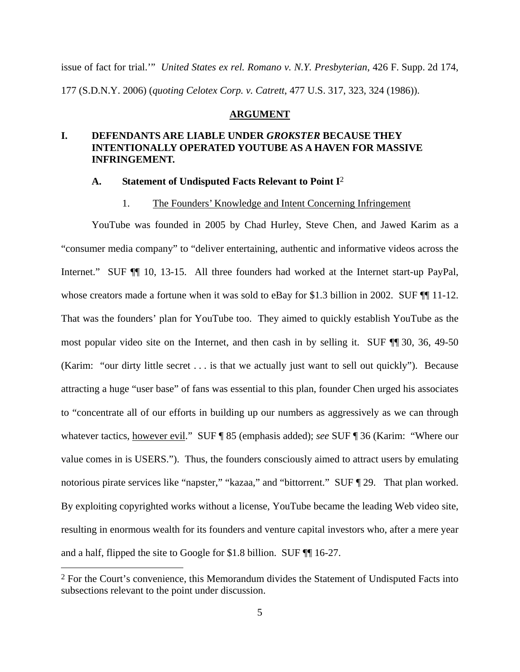issue of fact for trial.'" *United States ex rel. Romano v. N.Y. Presbyterian*, 426 F. Supp. 2d 174, 177 (S.D.N.Y. 2006) (*quoting Celotex Corp. v. Catrett*, 477 U.S. 317, 323, 324 (1986)).

#### **ARGUMENT**

# **I. DEFENDANTS ARE LIABLE UNDER** *GROKSTER* **BECAUSE THEY INTENTIONALLY OPERATED YOUTUBE AS A HAVEN FOR MASSIVE INFRINGEMENT.**

#### **A. Statement of Undisputed Facts Relevant to Point I**2

#### 1. The Founders' Knowledge and Intent Concerning Infringement

YouTube was founded in 2005 by Chad Hurley, Steve Chen, and Jawed Karim as a "consumer media company" to "deliver entertaining, authentic and informative videos across the Internet." SUF  $\P$  10, 13-15. All three founders had worked at the Internet start-up PayPal, whose creators made a fortune when it was sold to eBay for \$1.3 billion in 2002. SUF  $\P$  11-12. That was the founders' plan for YouTube too. They aimed to quickly establish YouTube as the most popular video site on the Internet, and then cash in by selling it. SUF ¶¶ 30, 36, 49-50 (Karim: "our dirty little secret . . . is that we actually just want to sell out quickly"). Because attracting a huge "user base" of fans was essential to this plan, founder Chen urged his associates to "concentrate all of our efforts in building up our numbers as aggressively as we can through whatever tactics, however evil." SUF ¶ 85 (emphasis added); *see* SUF ¶ 36 (Karim: "Where our value comes in is USERS."). Thus, the founders consciously aimed to attract users by emulating notorious pirate services like "napster," "kazaa," and "bittorrent." SUF [29. That plan worked. By exploiting copyrighted works without a license, YouTube became the leading Web video site, resulting in enormous wealth for its founders and venture capital investors who, after a mere year and a half, flipped the site to Google for \$1.8 billion. SUF ¶¶ 16-27.

<sup>2</sup> For the Court's convenience, this Memorandum divides the Statement of Undisputed Facts into subsections relevant to the point under discussion.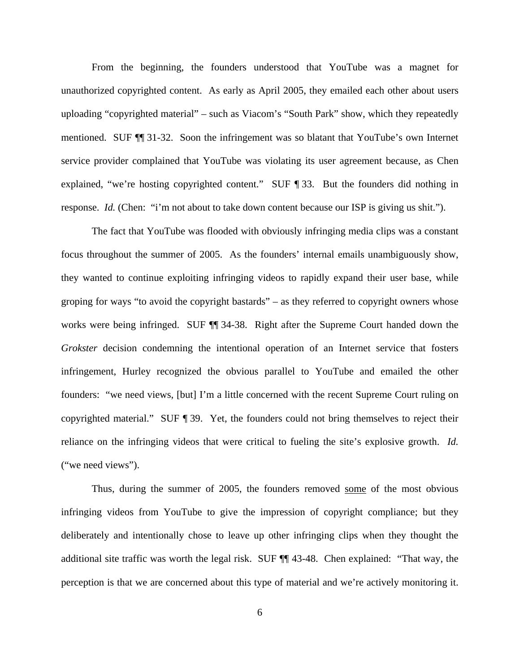From the beginning, the founders understood that YouTube was a magnet for unauthorized copyrighted content. As early as April 2005, they emailed each other about users uploading "copyrighted material" – such as Viacom's "South Park" show, which they repeatedly mentioned. SUF ¶¶ 31-32. Soon the infringement was so blatant that YouTube's own Internet service provider complained that YouTube was violating its user agreement because, as Chen explained, "we're hosting copyrighted content." SUF ¶ 33. But the founders did nothing in response. *Id.* (Chen: "i'm not about to take down content because our ISP is giving us shit.").

The fact that YouTube was flooded with obviously infringing media clips was a constant focus throughout the summer of 2005. As the founders' internal emails unambiguously show, they wanted to continue exploiting infringing videos to rapidly expand their user base, while groping for ways "to avoid the copyright bastards" – as they referred to copyright owners whose works were being infringed. SUF ¶¶ 34-38. Right after the Supreme Court handed down the *Grokster* decision condemning the intentional operation of an Internet service that fosters infringement, Hurley recognized the obvious parallel to YouTube and emailed the other founders: "we need views, [but] I'm a little concerned with the recent Supreme Court ruling on copyrighted material." SUF ¶ 39. Yet, the founders could not bring themselves to reject their reliance on the infringing videos that were critical to fueling the site's explosive growth. *Id.* ("we need views").

Thus, during the summer of 2005, the founders removed some of the most obvious infringing videos from YouTube to give the impression of copyright compliance; but they deliberately and intentionally chose to leave up other infringing clips when they thought the additional site traffic was worth the legal risk. SUF ¶¶ 43-48. Chen explained: "That way, the perception is that we are concerned about this type of material and we're actively monitoring it.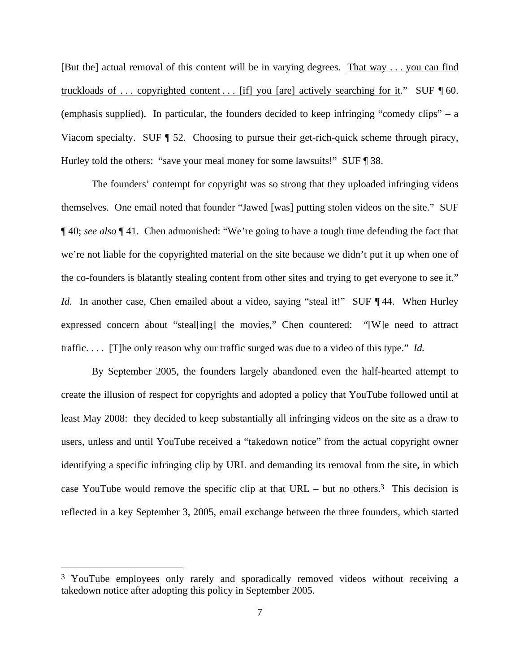[But the] actual removal of this content will be in varying degrees. That way . . . you can find truckloads of . . . copyrighted content . . . [if] you [are] actively searching for it*.*" SUF ¶ 60. (emphasis supplied). In particular, the founders decided to keep infringing "comedy clips" – a Viacom specialty. SUF ¶ 52. Choosing to pursue their get-rich-quick scheme through piracy, Hurley told the others: "save your meal money for some lawsuits!" SUF ¶ 38.

The founders' contempt for copyright was so strong that they uploaded infringing videos themselves. One email noted that founder "Jawed [was] putting stolen videos on the site." SUF ¶ 40; *see also* ¶ 41. Chen admonished: "We're going to have a tough time defending the fact that we're not liable for the copyrighted material on the site because we didn't put it up when one of the co-founders is blatantly stealing content from other sites and trying to get everyone to see it." *Id.* In another case, Chen emailed about a video, saying "steal it!" SUF ¶ 44. When Hurley expressed concern about "steal[ing] the movies," Chen countered: "[W]e need to attract traffic. . . . [T]he only reason why our traffic surged was due to a video of this type." *Id.*

By September 2005, the founders largely abandoned even the half-hearted attempt to create the illusion of respect for copyrights and adopted a policy that YouTube followed until at least May 2008: they decided to keep substantially all infringing videos on the site as a draw to users, unless and until YouTube received a "takedown notice" from the actual copyright owner identifying a specific infringing clip by URL and demanding its removal from the site, in which case YouTube would remove the specific clip at that  $URL - but no others.<sup>3</sup>$  This decision is reflected in a key September 3, 2005, email exchange between the three founders, which started

<sup>3</sup> YouTube employees only rarely and sporadically removed videos without receiving a takedown notice after adopting this policy in September 2005.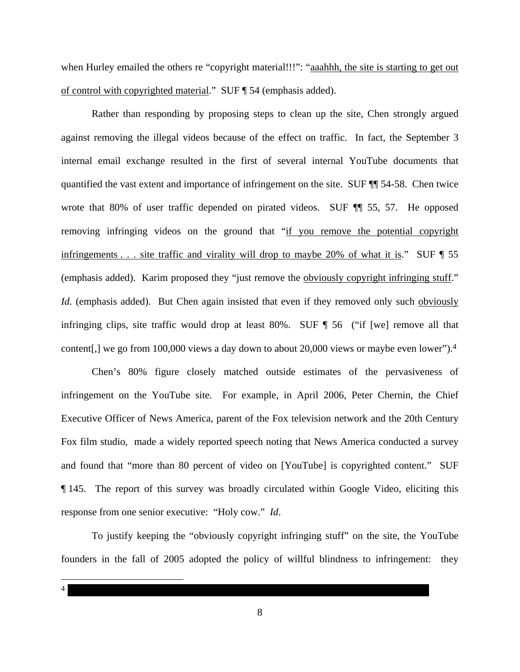when Hurley emailed the others re "copyright material!!!": "aaahhh, the site is starting to get out of control with copyrighted material." SUF ¶ 54 (emphasis added).

Rather than responding by proposing steps to clean up the site, Chen strongly argued against removing the illegal videos because of the effect on traffic. In fact, the September 3 internal email exchange resulted in the first of several internal YouTube documents that quantified the vast extent and importance of infringement on the site. SUF ¶¶ 54-58. Chen twice wrote that 80% of user traffic depended on pirated videos. SUF  $\P$  55, 57. He opposed removing infringing videos on the ground that "if you remove the potential copyright infringements . . . site traffic and virality will drop to maybe 20% of what it is." SUF  $\P$  55 (emphasis added). Karim proposed they "just remove the obviously copyright infringing stuff." *Id.* (emphasis added). But Chen again insisted that even if they removed only such obviously infringing clips, site traffic would drop at least 80%. SUF  $\P$  56 ("if [we] remove all that content[,] we go from 100,000 views a day down to about 20,000 views or maybe even lower").4

Chen's 80% figure closely matched outside estimates of the pervasiveness of infringement on the YouTube site. For example, in April 2006, Peter Chernin, the Chief Executive Officer of News America, parent of the Fox television network and the 20th Century Fox film studio, made a widely reported speech noting that News America conducted a survey and found that "more than 80 percent of video on [YouTube] is copyrighted content." SUF ¶ 145. The report of this survey was broadly circulated within Google Video, eliciting this response from one senior executive: "Holy cow." *Id*.

To justify keeping the "obviously copyright infringing stuff" on the site, the YouTube founders in the fall of 2005 adopted the policy of willful blindness to infringement: they

 $\overline{a}$  $4 \pm 4$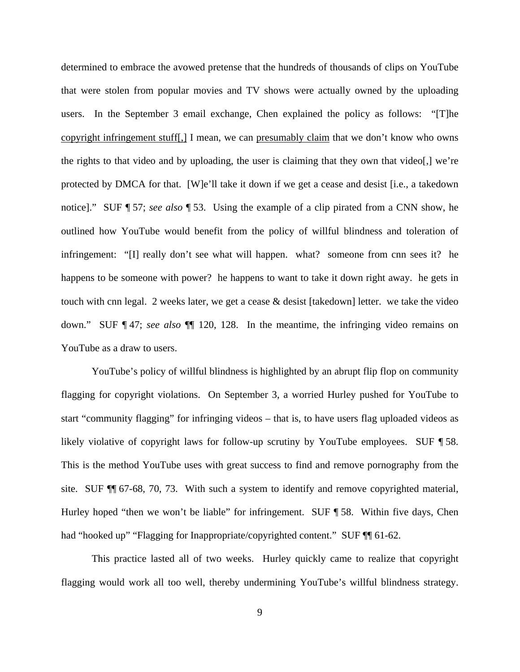determined to embrace the avowed pretense that the hundreds of thousands of clips on YouTube that were stolen from popular movies and TV shows were actually owned by the uploading users. In the September 3 email exchange, Chen explained the policy as follows: "[T]he copyright infringement stuff[,] I mean, we can presumably claim that we don't know who owns the rights to that video and by uploading, the user is claiming that they own that video[,] we're protected by DMCA for that. [W]e'll take it down if we get a cease and desist [i.e., a takedown notice]." SUF ¶ 57; *see also* ¶ 53. Using the example of a clip pirated from a CNN show, he outlined how YouTube would benefit from the policy of willful blindness and toleration of infringement: "[I] really don't see what will happen. what? someone from cnn sees it? he happens to be someone with power? he happens to want to take it down right away. he gets in touch with cnn legal. 2 weeks later, we get a cease & desist [takedown] letter. we take the video down." SUF ¶ 47; *see also* ¶¶ 120, 128. In the meantime, the infringing video remains on YouTube as a draw to users.

YouTube's policy of willful blindness is highlighted by an abrupt flip flop on community flagging for copyright violations. On September 3, a worried Hurley pushed for YouTube to start "community flagging" for infringing videos – that is, to have users flag uploaded videos as likely violative of copyright laws for follow-up scrutiny by YouTube employees. SUF ¶ 58. This is the method YouTube uses with great success to find and remove pornography from the site. SUF ¶¶ 67-68, 70, 73. With such a system to identify and remove copyrighted material, Hurley hoped "then we won't be liable" for infringement. SUF ¶ 58. Within five days, Chen had "hooked up" "Flagging for Inappropriate/copyrighted content." SUF ¶ 61-62.

This practice lasted all of two weeks. Hurley quickly came to realize that copyright flagging would work all too well, thereby undermining YouTube's willful blindness strategy.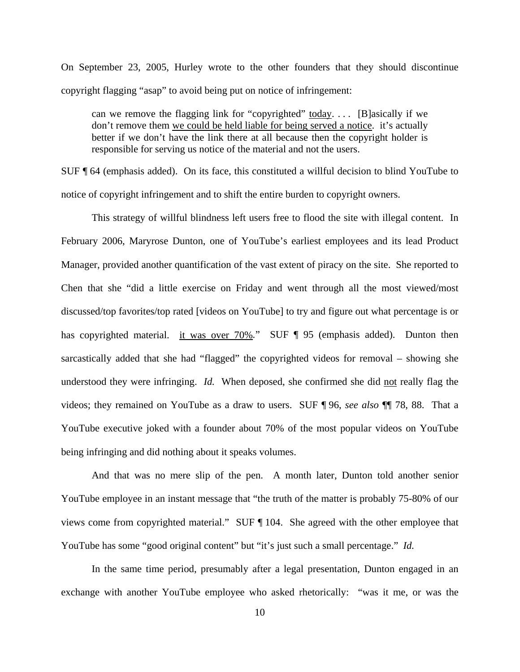On September 23, 2005, Hurley wrote to the other founders that they should discontinue copyright flagging "asap" to avoid being put on notice of infringement:

can we remove the flagging link for "copyrighted" today.... [B]asically if we don't remove them we could be held liable for being served a notice. it's actually better if we don't have the link there at all because then the copyright holder is responsible for serving us notice of the material and not the users.

SUF ¶ 64 (emphasis added). On its face, this constituted a willful decision to blind YouTube to notice of copyright infringement and to shift the entire burden to copyright owners.

This strategy of willful blindness left users free to flood the site with illegal content. In February 2006, Maryrose Dunton, one of YouTube's earliest employees and its lead Product Manager, provided another quantification of the vast extent of piracy on the site. She reported to Chen that she "did a little exercise on Friday and went through all the most viewed/most discussed/top favorites/top rated [videos on YouTube] to try and figure out what percentage is or has copyrighted material. it was over 70%*.*" SUF ¶ 95 (emphasis added). Dunton then sarcastically added that she had "flagged" the copyrighted videos for removal – showing she understood they were infringing. *Id.* When deposed, she confirmed she did not really flag the videos; they remained on YouTube as a draw to users. SUF ¶ 96, *see also* ¶¶ 78, 88. That a YouTube executive joked with a founder about 70% of the most popular videos on YouTube being infringing and did nothing about it speaks volumes.

And that was no mere slip of the pen. A month later, Dunton told another senior YouTube employee in an instant message that "the truth of the matter is probably 75-80% of our views come from copyrighted material." SUF ¶ 104. She agreed with the other employee that YouTube has some "good original content" but "it's just such a small percentage." *Id.*

In the same time period, presumably after a legal presentation, Dunton engaged in an exchange with another YouTube employee who asked rhetorically: "was it me, or was the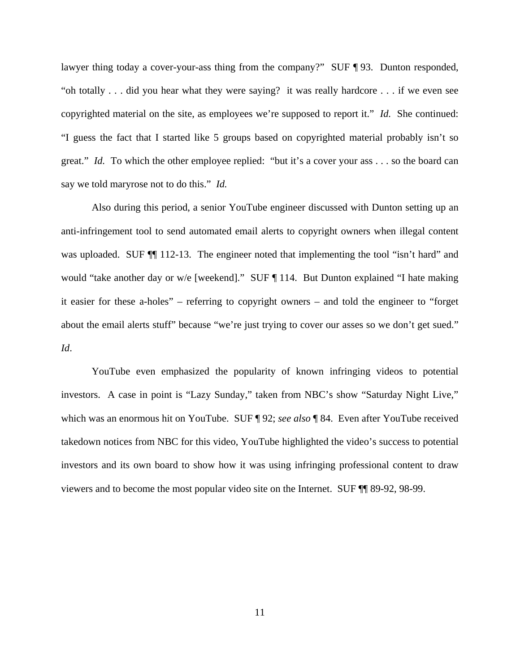lawyer thing today a cover-your-ass thing from the company?" SUF ¶ 93. Dunton responded, "oh totally . . . did you hear what they were saying? it was really hardcore . . . if we even see copyrighted material on the site, as employees we're supposed to report it." *Id.* She continued: "I guess the fact that I started like 5 groups based on copyrighted material probably isn't so great." *Id.* To which the other employee replied: "but it's a cover your ass . . . so the board can say we told maryrose not to do this." *Id.* 

Also during this period, a senior YouTube engineer discussed with Dunton setting up an anti-infringement tool to send automated email alerts to copyright owners when illegal content was uploaded. SUF  $\P$  112-13. The engineer noted that implementing the tool "isn't hard" and would "take another day or w/e [weekend]." SUF ¶ 114. But Dunton explained "I hate making it easier for these a-holes" – referring to copyright owners – and told the engineer to "forget about the email alerts stuff" because "we're just trying to cover our asses so we don't get sued." *Id*.

YouTube even emphasized the popularity of known infringing videos to potential investors. A case in point is "Lazy Sunday," taken from NBC's show "Saturday Night Live," which was an enormous hit on YouTube. SUF ¶ 92; *see also* ¶ 84. Even after YouTube received takedown notices from NBC for this video, YouTube highlighted the video's success to potential investors and its own board to show how it was using infringing professional content to draw viewers and to become the most popular video site on the Internet. SUF ¶¶ 89-92, 98-99.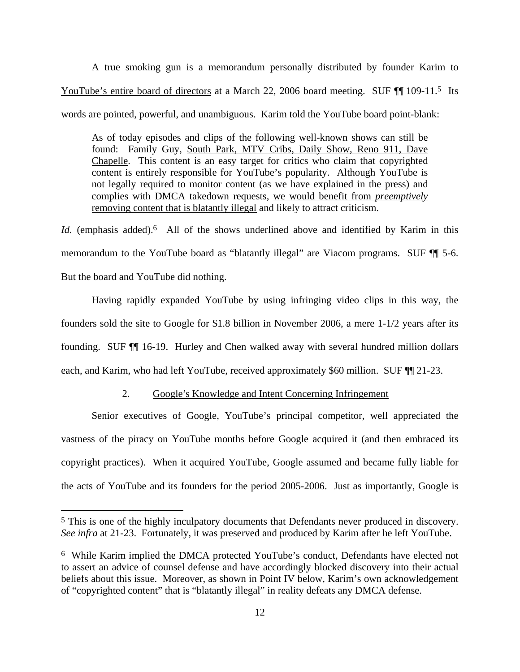A true smoking gun is a memorandum personally distributed by founder Karim to YouTube's entire board of directors at a March 22, 2006 board meeting. SUF  $\P$  109-11.<sup>5</sup> Its words are pointed, powerful, and unambiguous. Karim told the YouTube board point-blank:

As of today episodes and clips of the following well-known shows can still be found: Family Guy, South Park, MTV Cribs, Daily Show, Reno 911, Dave Chapelle. This content is an easy target for critics who claim that copyrighted content is entirely responsible for YouTube's popularity. Although YouTube is not legally required to monitor content (as we have explained in the press) and complies with DMCA takedown requests, we would benefit from *preemptively* removing content that is blatantly illegal and likely to attract criticism.

Id. (emphasis added).<sup>6</sup> All of the shows underlined above and identified by Karim in this memorandum to the YouTube board as "blatantly illegal" are Viacom programs. SUF ¶¶ 5-6. But the board and YouTube did nothing.

Having rapidly expanded YouTube by using infringing video clips in this way, the founders sold the site to Google for \$1.8 billion in November 2006, a mere 1-1/2 years after its founding. SUF ¶¶ 16-19. Hurley and Chen walked away with several hundred million dollars each, and Karim, who had left YouTube, received approximately \$60 million. SUF  $\P$  21-23.

# 2. Google's Knowledge and Intent Concerning Infringement

Senior executives of Google, YouTube's principal competitor, well appreciated the vastness of the piracy on YouTube months before Google acquired it (and then embraced its copyright practices). When it acquired YouTube, Google assumed and became fully liable for the acts of YouTube and its founders for the period 2005-2006. Just as importantly, Google is

<sup>5</sup> This is one of the highly inculpatory documents that Defendants never produced in discovery. *See infra* at 21-23. Fortunately, it was preserved and produced by Karim after he left YouTube.

<sup>6</sup> While Karim implied the DMCA protected YouTube's conduct, Defendants have elected not to assert an advice of counsel defense and have accordingly blocked discovery into their actual beliefs about this issue. Moreover, as shown in Point IV below, Karim's own acknowledgement of "copyrighted content" that is "blatantly illegal" in reality defeats any DMCA defense.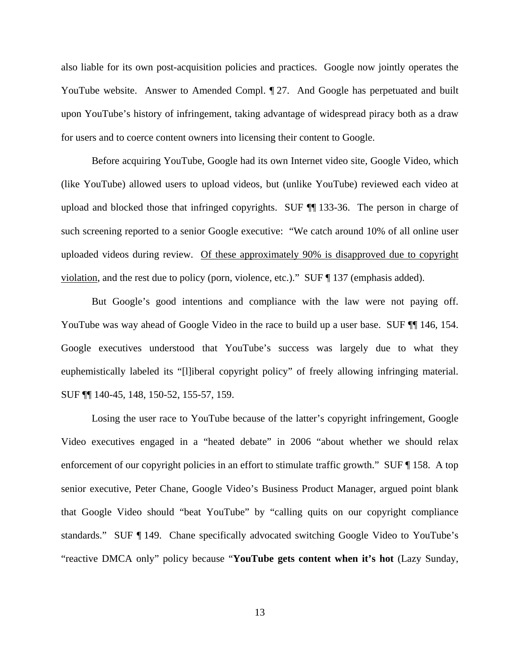also liable for its own post-acquisition policies and practices. Google now jointly operates the YouTube website. Answer to Amended Compl.  $\mathbb{I}$  27. And Google has perpetuated and built upon YouTube's history of infringement, taking advantage of widespread piracy both as a draw for users and to coerce content owners into licensing their content to Google.

Before acquiring YouTube, Google had its own Internet video site, Google Video, which (like YouTube) allowed users to upload videos, but (unlike YouTube) reviewed each video at upload and blocked those that infringed copyrights. SUF ¶¶ 133-36. The person in charge of such screening reported to a senior Google executive: "We catch around 10% of all online user uploaded videos during review. Of these approximately 90% is disapproved due to copyright violation, and the rest due to policy (porn, violence, etc.)." SUF ¶ 137 (emphasis added).

But Google's good intentions and compliance with the law were not paying off. YouTube was way ahead of Google Video in the race to build up a user base. SUF  $\P$  146, 154. Google executives understood that YouTube's success was largely due to what they euphemistically labeled its "[l]iberal copyright policy" of freely allowing infringing material. SUF ¶¶ 140-45, 148, 150-52, 155-57, 159.

Losing the user race to YouTube because of the latter's copyright infringement, Google Video executives engaged in a "heated debate" in 2006 "about whether we should relax enforcement of our copyright policies in an effort to stimulate traffic growth." SUF ¶ 158. A top senior executive, Peter Chane, Google Video's Business Product Manager, argued point blank that Google Video should "beat YouTube" by "calling quits on our copyright compliance standards." SUF ¶ 149. Chane specifically advocated switching Google Video to YouTube's "reactive DMCA only" policy because "**YouTube gets content when it's hot** (Lazy Sunday,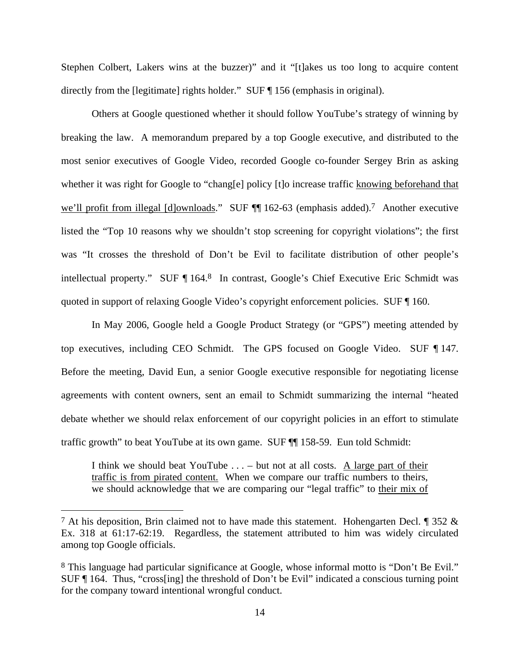Stephen Colbert, Lakers wins at the buzzer)" and it "[t]akes us too long to acquire content directly from the [legitimate] rights holder." SUF ¶ 156 (emphasis in original).

Others at Google questioned whether it should follow YouTube's strategy of winning by breaking the law. A memorandum prepared by a top Google executive, and distributed to the most senior executives of Google Video, recorded Google co-founder Sergey Brin as asking whether it was right for Google to "chang[e] policy [t]o increase traffic knowing beforehand that we'll profit from illegal [d]ownloads." SUF ¶ 162-63 (emphasis added).<sup>7</sup> Another executive listed the "Top 10 reasons why we shouldn't stop screening for copyright violations"; the first was "It crosses the threshold of Don't be Evil to facilitate distribution of other people's intellectual property." SUF ¶ 164.8 In contrast, Google's Chief Executive Eric Schmidt was quoted in support of relaxing Google Video's copyright enforcement policies. SUF ¶ 160.

In May 2006, Google held a Google Product Strategy (or "GPS") meeting attended by top executives, including CEO Schmidt. The GPS focused on Google Video. SUF ¶ 147. Before the meeting, David Eun, a senior Google executive responsible for negotiating license agreements with content owners, sent an email to Schmidt summarizing the internal "heated debate whether we should relax enforcement of our copyright policies in an effort to stimulate traffic growth" to beat YouTube at its own game. SUF ¶¶ 158-59. Eun told Schmidt:

I think we should beat YouTube  $\dots$  – but not at all costs. A large part of their traffic is from pirated content. When we compare our traffic numbers to theirs, we should acknowledge that we are comparing our "legal traffic" to their mix of

<sup>&</sup>lt;sup>7</sup> At his deposition, Brin claimed not to have made this statement. Hohengarten Decl. ¶ 352  $\&$ Ex. 318 at 61:17-62:19. Regardless, the statement attributed to him was widely circulated among top Google officials.

<sup>8</sup> This language had particular significance at Google, whose informal motto is "Don't Be Evil." SUF ¶ 164. Thus, "cross[ing] the threshold of Don't be Evil" indicated a conscious turning point for the company toward intentional wrongful conduct.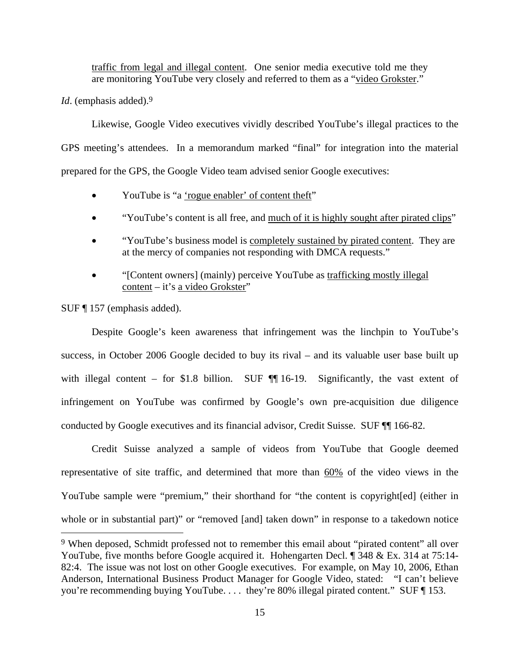traffic from legal and illegal content. One senior media executive told me they are monitoring YouTube very closely and referred to them as a "video Grokster."

*Id.* (emphasis added).<sup>9</sup>

Likewise, Google Video executives vividly described YouTube's illegal practices to the GPS meeting's attendees. In a memorandum marked "final" for integration into the material prepared for the GPS, the Google Video team advised senior Google executives:

- YouTube is "a 'rogue enabler' of content theft"
- "YouTube's content is all free, and much of it is highly sought after pirated clips"
- "YouTube's business model is completely sustained by pirated content. They are at the mercy of companies not responding with DMCA requests."
- "[Content owners] (mainly) perceive YouTube as trafficking mostly illegal content – it's a video Grokster"

SUF ¶ 157 (emphasis added).

 $\overline{a}$ 

Despite Google's keen awareness that infringement was the linchpin to YouTube's success, in October 2006 Google decided to buy its rival – and its valuable user base built up with illegal content – for \$1.8 billion. SUF  $\P$  16-19. Significantly, the vast extent of infringement on YouTube was confirmed by Google's own pre-acquisition due diligence conducted by Google executives and its financial advisor, Credit Suisse. SUF ¶¶ 166-82.

Credit Suisse analyzed a sample of videos from YouTube that Google deemed representative of site traffic, and determined that more than 60% of the video views in the YouTube sample were "premium," their shorthand for "the content is copyright[ed] (either in whole or in substantial part)" or "removed [and] taken down" in response to a takedown notice

<sup>9</sup> When deposed, Schmidt professed not to remember this email about "pirated content" all over YouTube, five months before Google acquired it. Hohengarten Decl. ¶ 348 & Ex. 314 at 75:14-82:4. The issue was not lost on other Google executives. For example, on May 10, 2006, Ethan Anderson, International Business Product Manager for Google Video, stated: "I can't believe you're recommending buying YouTube. . . . they're 80% illegal pirated content." SUF ¶ 153.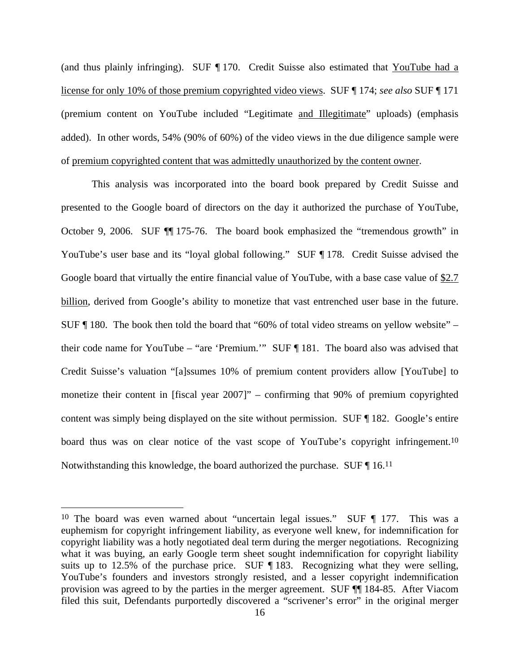(and thus plainly infringing). SUF ¶ 170. Credit Suisse also estimated that YouTube had a license for only 10% of those premium copyrighted video views. SUF ¶ 174; *see also* SUF ¶ 171 (premium content on YouTube included "Legitimate and Illegitimate" uploads) (emphasis added). In other words, 54% (90% of 60%) of the video views in the due diligence sample were of premium copyrighted content that was admittedly unauthorized by the content owner.

This analysis was incorporated into the board book prepared by Credit Suisse and presented to the Google board of directors on the day it authorized the purchase of YouTube, October 9, 2006. SUF ¶¶ 175-76. The board book emphasized the "tremendous growth" in YouTube's user base and its "loyal global following." SUF ¶ 178. Credit Suisse advised the Google board that virtually the entire financial value of YouTube, with a base case value of  $\S2.7$ billion, derived from Google's ability to monetize that vast entrenched user base in the future. SUF ¶ 180. The book then told the board that "60% of total video streams on yellow website" – their code name for YouTube – "are 'Premium.'" SUF ¶ 181. The board also was advised that Credit Suisse's valuation "[a]ssumes 10% of premium content providers allow [YouTube] to monetize their content in [fiscal year 2007]" – confirming that 90% of premium copyrighted content was simply being displayed on the site without permission. SUF ¶ 182. Google's entire board thus was on clear notice of the vast scope of YouTube's copyright infringement.<sup>10</sup> Notwithstanding this knowledge, the board authorized the purchase. SUF ¶ 16.11

<sup>10</sup> The board was even warned about "uncertain legal issues." SUF ¶ 177. This was a euphemism for copyright infringement liability, as everyone well knew, for indemnification for copyright liability was a hotly negotiated deal term during the merger negotiations. Recognizing what it was buying, an early Google term sheet sought indemnification for copyright liability suits up to 12.5% of the purchase price. SUF ¶ 183. Recognizing what they were selling, YouTube's founders and investors strongly resisted, and a lesser copyright indemnification provision was agreed to by the parties in the merger agreement. SUF ¶¶ 184-85. After Viacom filed this suit, Defendants purportedly discovered a "scrivener's error" in the original merger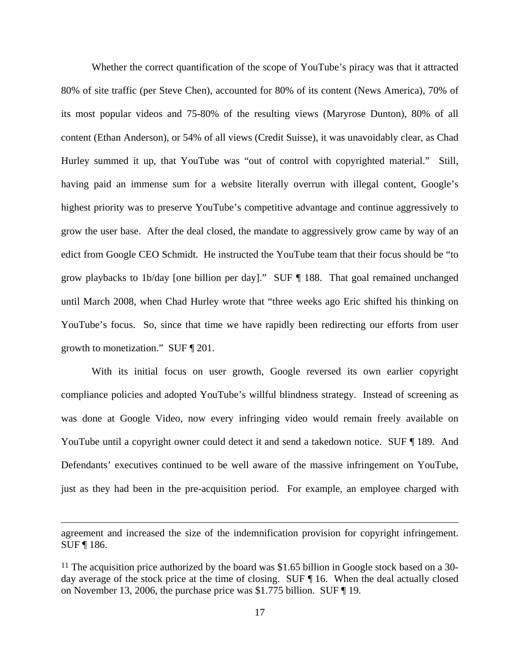Whether the correct quantification of the scope of YouTube's piracy was that it attracted 80% of site traffic (per Steve Chen), accounted for 80% of its content (News America), 70% of its most popular videos and 75-80% of the resulting views (Maryrose Dunton), 80% of all content (Ethan Anderson), or 54% of all views (Credit Suisse), it was unavoidably clear, as Chad Hurley summed it up, that YouTube was "out of control with copyrighted material." Still, having paid an immense sum for a website literally overrun with illegal content, Google's highest priority was to preserve YouTube's competitive advantage and continue aggressively to grow the user base. After the deal closed, the mandate to aggressively grow came by way of an edict from Google CEO Schmidt. He instructed the YouTube team that their focus should be "to grow playbacks to 1b/day [one billion per day]." SUF ¶ 188. That goal remained unchanged until March 2008, when Chad Hurley wrote that "three weeks ago Eric shifted his thinking on YouTube's focus. So, since that time we have rapidly been redirecting our efforts from user growth to monetization." SUF ¶ 201.

With its initial focus on user growth, Google reversed its own earlier copyright compliance policies and adopted YouTube's willful blindness strategy. Instead of screening as was done at Google Video, now every infringing video would remain freely available on YouTube until a copyright owner could detect it and send a takedown notice. SUF ¶ 189. And Defendants' executives continued to be well aware of the massive infringement on YouTube, just as they had been in the pre-acquisition period. For example, an employee charged with

agreement and increased the size of the indemnification provision for copyright infringement. SUF ¶ 186.

<sup>&</sup>lt;sup>11</sup> The acquisition price authorized by the board was \$1.65 billion in Google stock based on a 30day average of the stock price at the time of closing. SUF ¶ 16. When the deal actually closed on November 13, 2006, the purchase price was \$1.775 billion. SUF ¶ 19.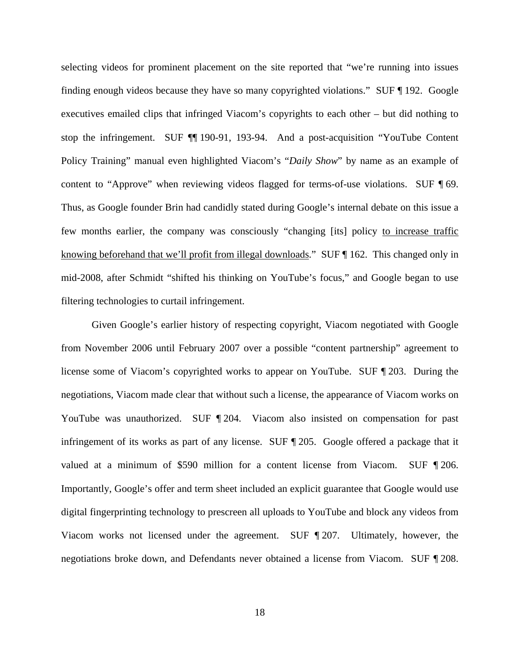selecting videos for prominent placement on the site reported that "we're running into issues finding enough videos because they have so many copyrighted violations." SUF ¶ 192. Google executives emailed clips that infringed Viacom's copyrights to each other – but did nothing to stop the infringement. SUF ¶¶ 190-91, 193-94. And a post-acquisition "YouTube Content Policy Training" manual even highlighted Viacom's "*Daily Show*" by name as an example of content to "Approve" when reviewing videos flagged for terms-of-use violations. SUF ¶ 69. Thus, as Google founder Brin had candidly stated during Google's internal debate on this issue a few months earlier, the company was consciously "changing [its] policy to increase traffic knowing beforehand that we'll profit from illegal downloads." SUF ¶ 162. This changed only in mid-2008, after Schmidt "shifted his thinking on YouTube's focus," and Google began to use filtering technologies to curtail infringement.

Given Google's earlier history of respecting copyright, Viacom negotiated with Google from November 2006 until February 2007 over a possible "content partnership" agreement to license some of Viacom's copyrighted works to appear on YouTube. SUF ¶ 203. During the negotiations, Viacom made clear that without such a license, the appearance of Viacom works on YouTube was unauthorized. SUF 1204. Viacom also insisted on compensation for past infringement of its works as part of any license. SUF ¶ 205. Google offered a package that it valued at a minimum of \$590 million for a content license from Viacom. SUF ¶ 206. Importantly, Google's offer and term sheet included an explicit guarantee that Google would use digital fingerprinting technology to prescreen all uploads to YouTube and block any videos from Viacom works not licensed under the agreement. SUF ¶ 207. Ultimately, however, the negotiations broke down, and Defendants never obtained a license from Viacom. SUF ¶ 208.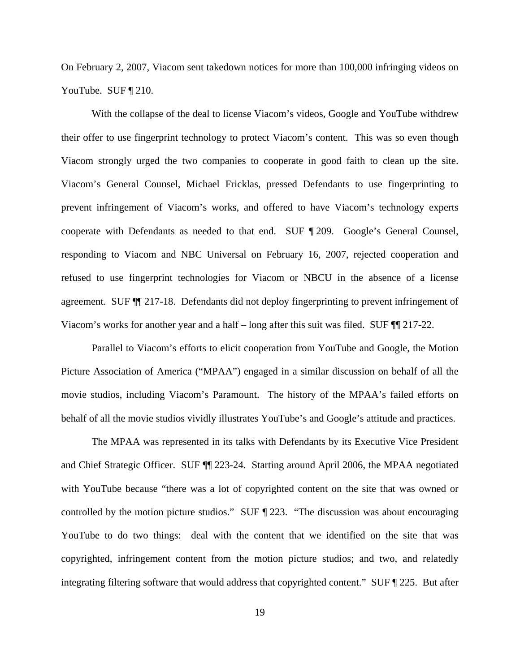On February 2, 2007, Viacom sent takedown notices for more than 100,000 infringing videos on YouTube. SUF ¶ 210.

With the collapse of the deal to license Viacom's videos, Google and YouTube withdrew their offer to use fingerprint technology to protect Viacom's content. This was so even though Viacom strongly urged the two companies to cooperate in good faith to clean up the site. Viacom's General Counsel, Michael Fricklas, pressed Defendants to use fingerprinting to prevent infringement of Viacom's works, and offered to have Viacom's technology experts cooperate with Defendants as needed to that end. SUF ¶ 209. Google's General Counsel, responding to Viacom and NBC Universal on February 16, 2007, rejected cooperation and refused to use fingerprint technologies for Viacom or NBCU in the absence of a license agreement. SUF ¶¶ 217-18. Defendants did not deploy fingerprinting to prevent infringement of Viacom's works for another year and a half – long after this suit was filed. SUF ¶¶ 217-22.

Parallel to Viacom's efforts to elicit cooperation from YouTube and Google, the Motion Picture Association of America ("MPAA") engaged in a similar discussion on behalf of all the movie studios, including Viacom's Paramount. The history of the MPAA's failed efforts on behalf of all the movie studios vividly illustrates YouTube's and Google's attitude and practices.

The MPAA was represented in its talks with Defendants by its Executive Vice President and Chief Strategic Officer. SUF ¶¶ 223-24. Starting around April 2006, the MPAA negotiated with YouTube because "there was a lot of copyrighted content on the site that was owned or controlled by the motion picture studios." SUF ¶ 223. "The discussion was about encouraging YouTube to do two things: deal with the content that we identified on the site that was copyrighted, infringement content from the motion picture studios; and two, and relatedly integrating filtering software that would address that copyrighted content." SUF ¶ 225. But after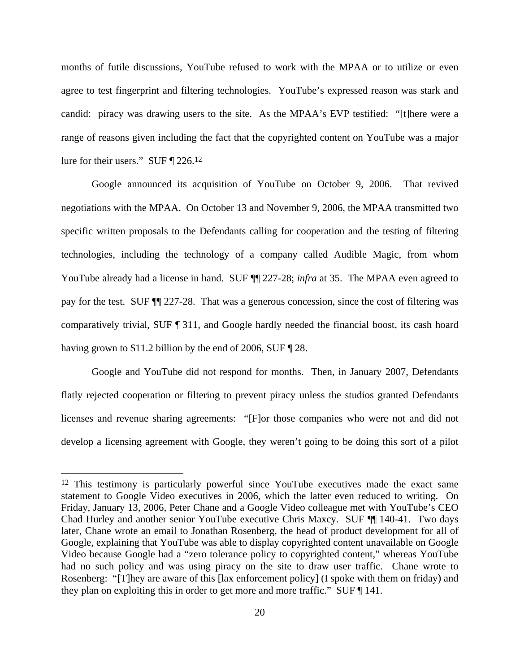months of futile discussions, YouTube refused to work with the MPAA or to utilize or even agree to test fingerprint and filtering technologies. YouTube's expressed reason was stark and candid: piracy was drawing users to the site. As the MPAA's EVP testified: "[t]here were a range of reasons given including the fact that the copyrighted content on YouTube was a major lure for their users." SUF ¶ 226.12

Google announced its acquisition of YouTube on October 9, 2006. That revived negotiations with the MPAA. On October 13 and November 9, 2006, the MPAA transmitted two specific written proposals to the Defendants calling for cooperation and the testing of filtering technologies, including the technology of a company called Audible Magic, from whom YouTube already had a license in hand. SUF ¶¶ 227-28; *infra* at 35. The MPAA even agreed to pay for the test. SUF ¶¶ 227-28. That was a generous concession, since the cost of filtering was comparatively trivial, SUF ¶ 311, and Google hardly needed the financial boost, its cash hoard having grown to \$11.2 billion by the end of 2006, SUF [28.]

Google and YouTube did not respond for months. Then, in January 2007, Defendants flatly rejected cooperation or filtering to prevent piracy unless the studios granted Defendants licenses and revenue sharing agreements: "[F]or those companies who were not and did not develop a licensing agreement with Google, they weren't going to be doing this sort of a pilot

<sup>12</sup> This testimony is particularly powerful since YouTube executives made the exact same statement to Google Video executives in 2006, which the latter even reduced to writing. On Friday, January 13, 2006, Peter Chane and a Google Video colleague met with YouTube's CEO Chad Hurley and another senior YouTube executive Chris Maxcy. SUF ¶¶ 140-41. Two days later, Chane wrote an email to Jonathan Rosenberg, the head of product development for all of Google, explaining that YouTube was able to display copyrighted content unavailable on Google Video because Google had a "zero tolerance policy to copyrighted content," whereas YouTube had no such policy and was using piracy on the site to draw user traffic. Chane wrote to Rosenberg: "[T]hey are aware of this [lax enforcement policy] (I spoke with them on friday) and they plan on exploiting this in order to get more and more traffic." SUF ¶ 141.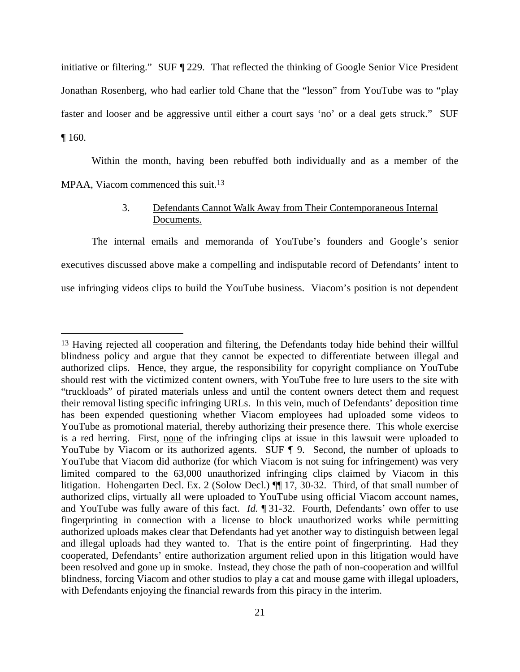initiative or filtering." SUF ¶ 229. That reflected the thinking of Google Senior Vice President Jonathan Rosenberg, who had earlier told Chane that the "lesson" from YouTube was to "play faster and looser and be aggressive until either a court says 'no' or a deal gets struck." SUF ¶ 160.

Within the month, having been rebuffed both individually and as a member of the MPAA, Viacom commenced this suit.<sup>13</sup>

## 3. Defendants Cannot Walk Away from Their Contemporaneous Internal Documents.

The internal emails and memoranda of YouTube's founders and Google's senior executives discussed above make a compelling and indisputable record of Defendants' intent to use infringing videos clips to build the YouTube business. Viacom's position is not dependent

<sup>&</sup>lt;sup>13</sup> Having rejected all cooperation and filtering, the Defendants today hide behind their willful blindness policy and argue that they cannot be expected to differentiate between illegal and authorized clips. Hence, they argue, the responsibility for copyright compliance on YouTube should rest with the victimized content owners, with YouTube free to lure users to the site with "truckloads" of pirated materials unless and until the content owners detect them and request their removal listing specific infringing URLs. In this vein, much of Defendants' deposition time has been expended questioning whether Viacom employees had uploaded some videos to YouTube as promotional material, thereby authorizing their presence there. This whole exercise is a red herring. First, none of the infringing clips at issue in this lawsuit were uploaded to YouTube by Viacom or its authorized agents. SUF ¶ 9. Second, the number of uploads to YouTube that Viacom did authorize (for which Viacom is not suing for infringement) was very limited compared to the 63,000 unauthorized infringing clips claimed by Viacom in this litigation. Hohengarten Decl. Ex. 2 (Solow Decl.) ¶¶ 17, 30-32. Third, of that small number of authorized clips, virtually all were uploaded to YouTube using official Viacom account names, and YouTube was fully aware of this fact. *Id.* ¶ 31-32. Fourth, Defendants' own offer to use fingerprinting in connection with a license to block unauthorized works while permitting authorized uploads makes clear that Defendants had yet another way to distinguish between legal and illegal uploads had they wanted to. That is the entire point of fingerprinting. Had they cooperated, Defendants' entire authorization argument relied upon in this litigation would have been resolved and gone up in smoke. Instead, they chose the path of non-cooperation and willful blindness, forcing Viacom and other studios to play a cat and mouse game with illegal uploaders, with Defendants enjoying the financial rewards from this piracy in the interim.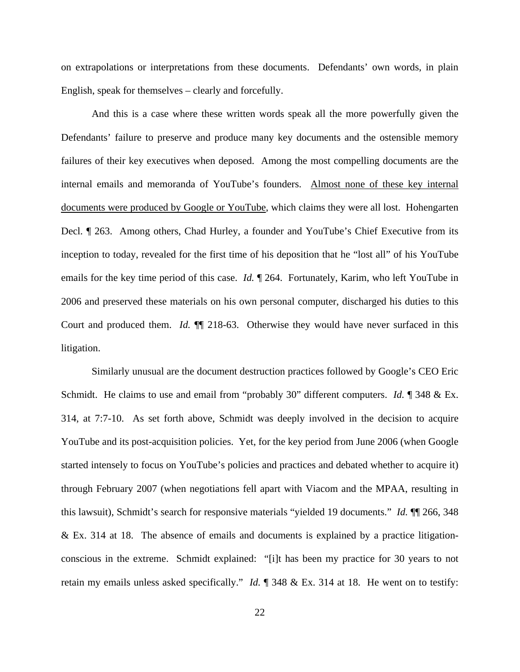on extrapolations or interpretations from these documents. Defendants' own words, in plain English, speak for themselves – clearly and forcefully.

And this is a case where these written words speak all the more powerfully given the Defendants' failure to preserve and produce many key documents and the ostensible memory failures of their key executives when deposed. Among the most compelling documents are the internal emails and memoranda of YouTube's founders. Almost none of these key internal documents were produced by Google or YouTube, which claims they were all lost. Hohengarten Decl. ¶ 263. Among others, Chad Hurley, a founder and YouTube's Chief Executive from its inception to today, revealed for the first time of his deposition that he "lost all" of his YouTube emails for the key time period of this case. *Id.* ¶ 264. Fortunately, Karim, who left YouTube in 2006 and preserved these materials on his own personal computer, discharged his duties to this Court and produced them. *Id.* ¶¶ 218-63. Otherwise they would have never surfaced in this litigation.

Similarly unusual are the document destruction practices followed by Google's CEO Eric Schmidt. He claims to use and email from "probably 30" different computers. *Id.* ¶ 348 & Ex. 314, at 7:7-10. As set forth above, Schmidt was deeply involved in the decision to acquire YouTube and its post-acquisition policies. Yet, for the key period from June 2006 (when Google started intensely to focus on YouTube's policies and practices and debated whether to acquire it) through February 2007 (when negotiations fell apart with Viacom and the MPAA, resulting in this lawsuit), Schmidt's search for responsive materials "yielded 19 documents." *Id.* ¶¶ 266, 348 & Ex. 314 at 18. The absence of emails and documents is explained by a practice litigationconscious in the extreme. Schmidt explained: "[i]t has been my practice for 30 years to not retain my emails unless asked specifically." *Id.* ¶ 348 & Ex. 314 at 18. He went on to testify: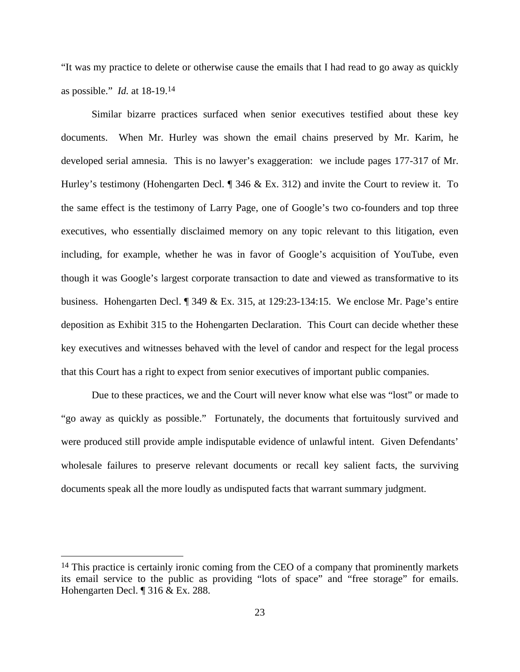"It was my practice to delete or otherwise cause the emails that I had read to go away as quickly as possible." *Id.* at 18-19.14

Similar bizarre practices surfaced when senior executives testified about these key documents. When Mr. Hurley was shown the email chains preserved by Mr. Karim, he developed serial amnesia. This is no lawyer's exaggeration: we include pages 177-317 of Mr. Hurley's testimony (Hohengarten Decl. ¶ 346 & Ex. 312) and invite the Court to review it. To the same effect is the testimony of Larry Page, one of Google's two co-founders and top three executives, who essentially disclaimed memory on any topic relevant to this litigation, even including, for example, whether he was in favor of Google's acquisition of YouTube, even though it was Google's largest corporate transaction to date and viewed as transformative to its business. Hohengarten Decl. ¶ 349 & Ex. 315, at 129:23-134:15. We enclose Mr. Page's entire deposition as Exhibit 315 to the Hohengarten Declaration. This Court can decide whether these key executives and witnesses behaved with the level of candor and respect for the legal process that this Court has a right to expect from senior executives of important public companies.

Due to these practices, we and the Court will never know what else was "lost" or made to "go away as quickly as possible." Fortunately, the documents that fortuitously survived and were produced still provide ample indisputable evidence of unlawful intent. Given Defendants' wholesale failures to preserve relevant documents or recall key salient facts, the surviving documents speak all the more loudly as undisputed facts that warrant summary judgment.

<sup>&</sup>lt;sup>14</sup> This practice is certainly ironic coming from the CEO of a company that prominently markets its email service to the public as providing "lots of space" and "free storage" for emails. Hohengarten Decl. ¶ 316 & Ex. 288.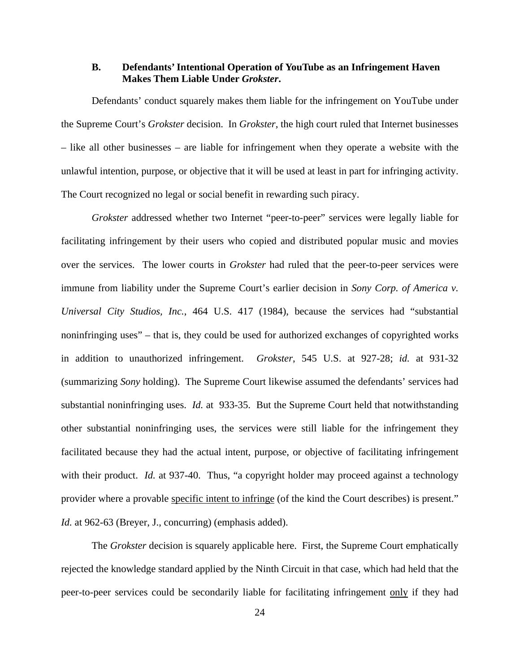### **B. Defendants' Intentional Operation of YouTube as an Infringement Haven Makes Them Liable Under** *Grokster***.**

Defendants' conduct squarely makes them liable for the infringement on YouTube under the Supreme Court's *Grokster* decision. In *Grokster*, the high court ruled that Internet businesses – like all other businesses – are liable for infringement when they operate a website with the unlawful intention, purpose, or objective that it will be used at least in part for infringing activity. The Court recognized no legal or social benefit in rewarding such piracy.

*Grokster* addressed whether two Internet "peer-to-peer" services were legally liable for facilitating infringement by their users who copied and distributed popular music and movies over the services. The lower courts in *Grokster* had ruled that the peer-to-peer services were immune from liability under the Supreme Court's earlier decision in *Sony Corp. of America v. Universal City Studios, Inc.*, 464 U.S. 417 (1984), because the services had "substantial noninfringing uses" – that is, they could be used for authorized exchanges of copyrighted works in addition to unauthorized infringement. *Grokster*, 545 U.S. at 927-28; *id.* at 931-32 (summarizing *Sony* holding). The Supreme Court likewise assumed the defendants' services had substantial noninfringing uses. *Id.* at 933-35. But the Supreme Court held that notwithstanding other substantial noninfringing uses, the services were still liable for the infringement they facilitated because they had the actual intent, purpose, or objective of facilitating infringement with their product. *Id.* at 937-40. Thus, "a copyright holder may proceed against a technology provider where a provable specific intent to infringe (of the kind the Court describes) is present." *Id.* at 962-63 (Breyer, J., concurring) (emphasis added).

The *Grokster* decision is squarely applicable here. First, the Supreme Court emphatically rejected the knowledge standard applied by the Ninth Circuit in that case, which had held that the peer-to-peer services could be secondarily liable for facilitating infringement only if they had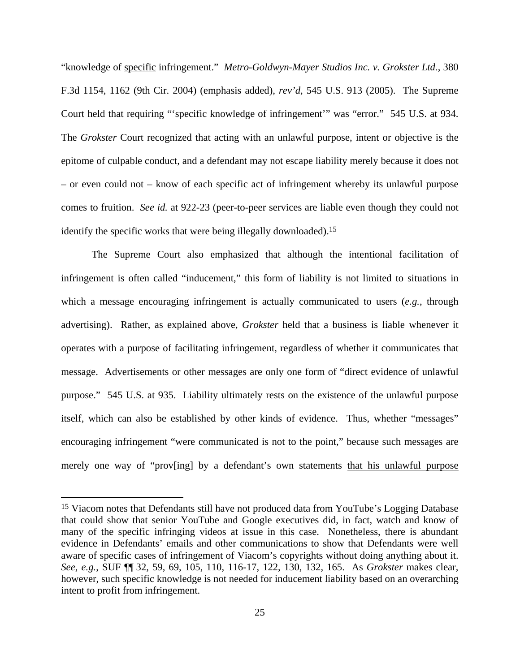"knowledge of specific infringement." *Metro-Goldwyn-Mayer Studios Inc. v. Grokster Ltd.*, 380 F.3d 1154, 1162 (9th Cir. 2004) (emphasis added), *rev'd*, 545 U.S. 913 (2005). The Supreme Court held that requiring "'specific knowledge of infringement'" was "error." 545 U.S. at 934. The *Grokster* Court recognized that acting with an unlawful purpose, intent or objective is the epitome of culpable conduct, and a defendant may not escape liability merely because it does not – or even could not – know of each specific act of infringement whereby its unlawful purpose comes to fruition. *See id.* at 922-23 (peer-to-peer services are liable even though they could not identify the specific works that were being illegally downloaded).15

The Supreme Court also emphasized that although the intentional facilitation of infringement is often called "inducement," this form of liability is not limited to situations in which a message encouraging infringement is actually communicated to users (*e.g.*, through advertising). Rather, as explained above, *Grokster* held that a business is liable whenever it operates with a purpose of facilitating infringement, regardless of whether it communicates that message. Advertisements or other messages are only one form of "direct evidence of unlawful purpose." 545 U.S. at 935. Liability ultimately rests on the existence of the unlawful purpose itself, which can also be established by other kinds of evidence. Thus, whether "messages" encouraging infringement "were communicated is not to the point," because such messages are merely one way of "prov[ing] by a defendant's own statements that his unlawful purpose

<sup>15</sup> Viacom notes that Defendants still have not produced data from YouTube's Logging Database that could show that senior YouTube and Google executives did, in fact, watch and know of many of the specific infringing videos at issue in this case. Nonetheless, there is abundant evidence in Defendants' emails and other communications to show that Defendants were well aware of specific cases of infringement of Viacom's copyrights without doing anything about it. *See*, *e.g.*, SUF ¶¶ 32, 59, 69, 105, 110, 116-17, 122, 130, 132, 165. As *Grokster* makes clear, however, such specific knowledge is not needed for inducement liability based on an overarching intent to profit from infringement.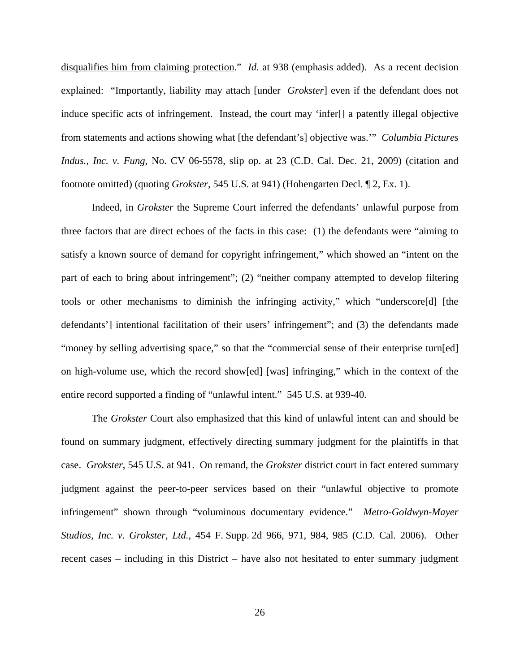disqualifies him from claiming protection." *Id.* at 938 (emphasis added). As a recent decision explained: "Importantly, liability may attach [under *Grokster*] even if the defendant does not induce specific acts of infringement. Instead, the court may 'infer[] a patently illegal objective from statements and actions showing what [the defendant's] objective was.'" *Columbia Pictures Indus., Inc. v. Fung, No. CV 06-5578, slip op. at 23 (C.D. Cal. Dec. 21, 2009)* (citation and footnote omitted) (quoting *Grokster*, 545 U.S. at 941) (Hohengarten Decl. ¶ 2, Ex. 1).

Indeed, in *Grokster* the Supreme Court inferred the defendants' unlawful purpose from three factors that are direct echoes of the facts in this case: (1) the defendants were "aiming to satisfy a known source of demand for copyright infringement," which showed an "intent on the part of each to bring about infringement"; (2) "neither company attempted to develop filtering tools or other mechanisms to diminish the infringing activity," which "underscore[d] [the defendants'] intentional facilitation of their users' infringement"; and (3) the defendants made "money by selling advertising space," so that the "commercial sense of their enterprise turn[ed] on high-volume use, which the record show[ed] [was] infringing," which in the context of the entire record supported a finding of "unlawful intent." 545 U.S. at 939-40.

The *Grokster* Court also emphasized that this kind of unlawful intent can and should be found on summary judgment, effectively directing summary judgment for the plaintiffs in that case. *Grokster*, 545 U.S. at 941. On remand, the *Grokster* district court in fact entered summary judgment against the peer-to-peer services based on their "unlawful objective to promote infringement" shown through "voluminous documentary evidence." *Metro-Goldwyn-Mayer Studios, Inc. v. Grokster, Ltd.*, 454 F. Supp. 2d 966, 971, 984, 985 (C.D. Cal. 2006). Other recent cases – including in this District – have also not hesitated to enter summary judgment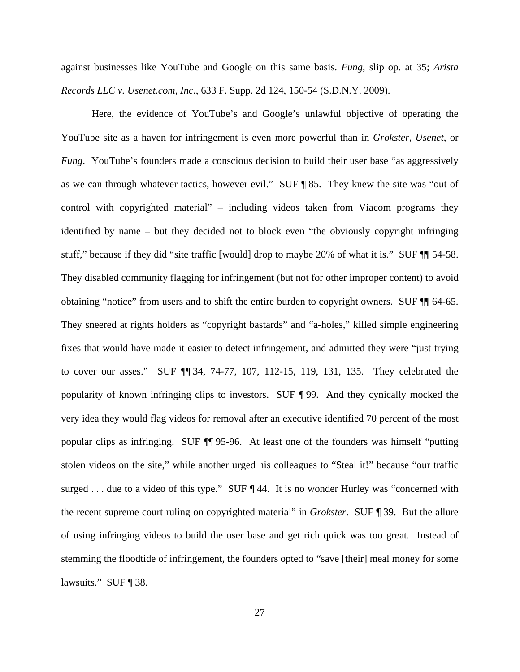against businesses like YouTube and Google on this same basis. *Fung*, slip op. at 35; *Arista Records LLC v. Usenet.com, Inc.*, 633 F. Supp. 2d 124, 150-54 (S.D.N.Y. 2009).

Here, the evidence of YouTube's and Google's unlawful objective of operating the YouTube site as a haven for infringement is even more powerful than in *Grokster*, *Usenet*, or *Fung.* YouTube's founders made a conscious decision to build their user base "as aggressively as we can through whatever tactics, however evil." SUF ¶ 85. They knew the site was "out of control with copyrighted material" – including videos taken from Viacom programs they identified by name – but they decided not to block even "the obviously copyright infringing stuff," because if they did "site traffic [would] drop to maybe 20% of what it is." SUF ¶¶ 54-58. They disabled community flagging for infringement (but not for other improper content) to avoid obtaining "notice" from users and to shift the entire burden to copyright owners. SUF ¶¶ 64-65. They sneered at rights holders as "copyright bastards" and "a-holes," killed simple engineering fixes that would have made it easier to detect infringement, and admitted they were "just trying to cover our asses." SUF ¶¶ 34, 74-77, 107, 112-15, 119, 131, 135. They celebrated the popularity of known infringing clips to investors. SUF ¶ 99. And they cynically mocked the very idea they would flag videos for removal after an executive identified 70 percent of the most popular clips as infringing. SUF ¶¶ 95-96. At least one of the founders was himself "putting stolen videos on the site," while another urged his colleagues to "Steal it!" because "our traffic surged . . . due to a video of this type." SUF ¶ 44. It is no wonder Hurley was "concerned with the recent supreme court ruling on copyrighted material" in *Grokster*. SUF ¶ 39. But the allure of using infringing videos to build the user base and get rich quick was too great. Instead of stemming the floodtide of infringement, the founders opted to "save [their] meal money for some lawsuits." SUF ¶ 38.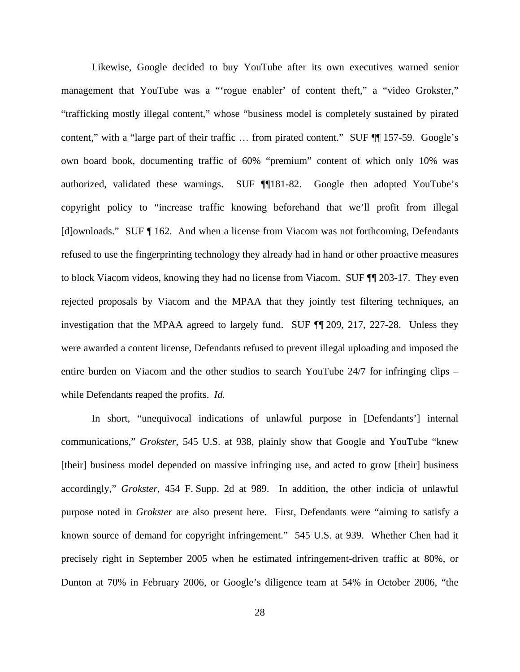Likewise, Google decided to buy YouTube after its own executives warned senior management that YouTube was a "'rogue enabler' of content theft," a "video Grokster," "trafficking mostly illegal content," whose "business model is completely sustained by pirated content," with a "large part of their traffic ... from pirated content." SUF ¶ 157-59. Google's own board book, documenting traffic of 60% "premium" content of which only 10% was authorized, validated these warnings. SUF ¶¶181-82. Google then adopted YouTube's copyright policy to "increase traffic knowing beforehand that we'll profit from illegal [d]ownloads." SUF ¶ 162. And when a license from Viacom was not forthcoming, Defendants refused to use the fingerprinting technology they already had in hand or other proactive measures to block Viacom videos, knowing they had no license from Viacom. SUF ¶¶ 203-17. They even rejected proposals by Viacom and the MPAA that they jointly test filtering techniques, an investigation that the MPAA agreed to largely fund. SUF ¶¶ 209, 217, 227-28. Unless they were awarded a content license, Defendants refused to prevent illegal uploading and imposed the entire burden on Viacom and the other studios to search YouTube 24/7 for infringing clips – while Defendants reaped the profits. *Id.*

In short, "unequivocal indications of unlawful purpose in [Defendants'] internal communications," *Grokster*, 545 U.S. at 938, plainly show that Google and YouTube "knew [their] business model depended on massive infringing use, and acted to grow [their] business accordingly," *Grokster*, 454 F. Supp. 2d at 989. In addition, the other indicia of unlawful purpose noted in *Grokster* are also present here. First, Defendants were "aiming to satisfy a known source of demand for copyright infringement." 545 U.S. at 939. Whether Chen had it precisely right in September 2005 when he estimated infringement-driven traffic at 80%, or Dunton at 70% in February 2006, or Google's diligence team at 54% in October 2006, "the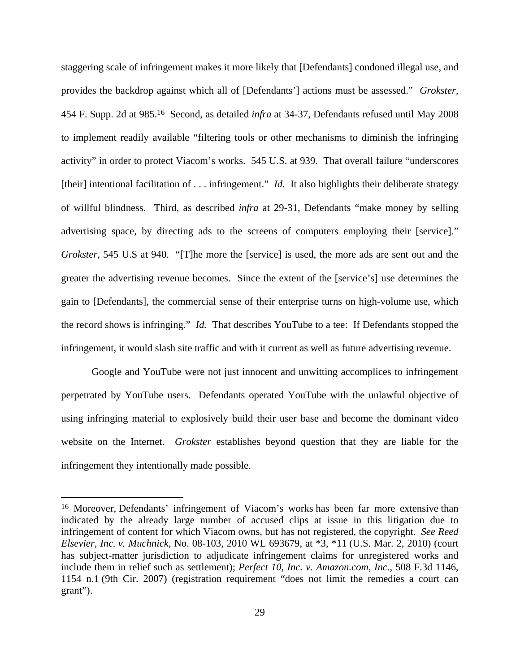staggering scale of infringement makes it more likely that [Defendants] condoned illegal use, and provides the backdrop against which all of [Defendants'] actions must be assessed." *Grokster*, 454 F. Supp. 2d at 985.16 Second, as detailed *infra* at 34-37, Defendants refused until May 2008 to implement readily available "filtering tools or other mechanisms to diminish the infringing activity" in order to protect Viacom's works. 545 U.S. at 939. That overall failure "underscores [their] intentional facilitation of . . . infringement." *Id.* It also highlights their deliberate strategy of willful blindness. Third, as described *infra* at 29-31, Defendants "make money by selling advertising space, by directing ads to the screens of computers employing their [service]." *Grokster*, 545 U.S at 940. "[T]he more the [service] is used, the more ads are sent out and the greater the advertising revenue becomes. Since the extent of the [service's] use determines the gain to [Defendants], the commercial sense of their enterprise turns on high-volume use, which the record shows is infringing." *Id.* That describes YouTube to a tee: If Defendants stopped the infringement, it would slash site traffic and with it current as well as future advertising revenue.

Google and YouTube were not just innocent and unwitting accomplices to infringement perpetrated by YouTube users. Defendants operated YouTube with the unlawful objective of using infringing material to explosively build their user base and become the dominant video website on the Internet. *Grokster* establishes beyond question that they are liable for the infringement they intentionally made possible.

<sup>16</sup> Moreover, Defendants' infringement of Viacom's works has been far more extensive than indicated by the already large number of accused clips at issue in this litigation due to infringement of content for which Viacom owns, but has not registered, the copyright. *See Reed Elsevier, Inc. v. Muchnick*, No. 08-103, 2010 WL 693679, at \*3, \*11 (U.S. Mar. 2, 2010) (court has subject-matter jurisdiction to adjudicate infringement claims for unregistered works and include them in relief such as settlement); *Perfect 10, Inc. v. Amazon.com, Inc.*, 508 F.3d 1146, 1154 n.1 (9th Cir. 2007) (registration requirement "does not limit the remedies a court can grant").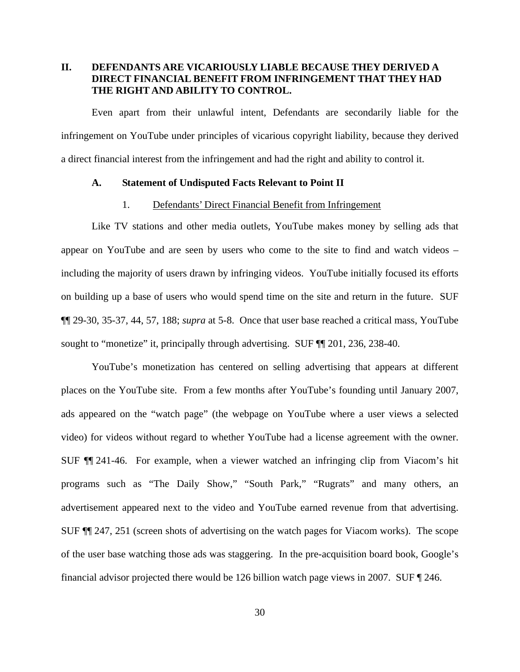# **II. DEFENDANTS ARE VICARIOUSLY LIABLE BECAUSE THEY DERIVED A DIRECT FINANCIAL BENEFIT FROM INFRINGEMENT THAT THEY HAD THE RIGHT AND ABILITY TO CONTROL.**

Even apart from their unlawful intent, Defendants are secondarily liable for the infringement on YouTube under principles of vicarious copyright liability, because they derived a direct financial interest from the infringement and had the right and ability to control it.

## **A. Statement of Undisputed Facts Relevant to Point II**

## 1. Defendants' Direct Financial Benefit from Infringement

Like TV stations and other media outlets, YouTube makes money by selling ads that appear on YouTube and are seen by users who come to the site to find and watch videos – including the majority of users drawn by infringing videos. YouTube initially focused its efforts on building up a base of users who would spend time on the site and return in the future. SUF ¶¶ 29-30, 35-37, 44, 57, 188; *supra* at 5-8. Once that user base reached a critical mass, YouTube sought to "monetize" it, principally through advertising. SUF ¶¶ 201, 236, 238-40.

YouTube's monetization has centered on selling advertising that appears at different places on the YouTube site. From a few months after YouTube's founding until January 2007, ads appeared on the "watch page" (the webpage on YouTube where a user views a selected video) for videos without regard to whether YouTube had a license agreement with the owner. SUF ¶¶ 241-46. For example, when a viewer watched an infringing clip from Viacom's hit programs such as "The Daily Show," "South Park," "Rugrats" and many others, an advertisement appeared next to the video and YouTube earned revenue from that advertising. SUF ¶¶ 247, 251 (screen shots of advertising on the watch pages for Viacom works). The scope of the user base watching those ads was staggering. In the pre-acquisition board book, Google's financial advisor projected there would be 126 billion watch page views in 2007. SUF ¶ 246.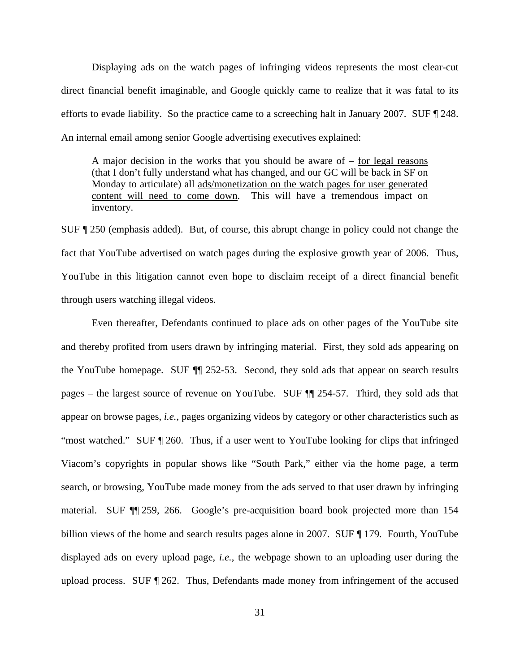Displaying ads on the watch pages of infringing videos represents the most clear-cut direct financial benefit imaginable, and Google quickly came to realize that it was fatal to its efforts to evade liability. So the practice came to a screeching halt in January 2007. SUF ¶ 248. An internal email among senior Google advertising executives explained:

A major decision in the works that you should be aware of  $-$  for legal reasons (that I don't fully understand what has changed, and our GC will be back in SF on Monday to articulate) all ads/monetization on the watch pages for user generated content will need to come down. This will have a tremendous impact on inventory.

SUF ¶ 250 (emphasis added). But, of course, this abrupt change in policy could not change the fact that YouTube advertised on watch pages during the explosive growth year of 2006. Thus, YouTube in this litigation cannot even hope to disclaim receipt of a direct financial benefit through users watching illegal videos.

Even thereafter, Defendants continued to place ads on other pages of the YouTube site and thereby profited from users drawn by infringing material. First, they sold ads appearing on the YouTube homepage. SUF ¶¶ 252-53. Second, they sold ads that appear on search results pages – the largest source of revenue on YouTube. SUF ¶¶ 254-57. Third, they sold ads that appear on browse pages, *i.e.*, pages organizing videos by category or other characteristics such as "most watched." SUF ¶ 260. Thus, if a user went to YouTube looking for clips that infringed Viacom's copyrights in popular shows like "South Park," either via the home page, a term search, or browsing, YouTube made money from the ads served to that user drawn by infringing material. SUF ¶¶ 259, 266. Google's pre-acquisition board book projected more than 154 billion views of the home and search results pages alone in 2007. SUF ¶ 179. Fourth, YouTube displayed ads on every upload page, *i.e.*, the webpage shown to an uploading user during the upload process. SUF ¶ 262. Thus, Defendants made money from infringement of the accused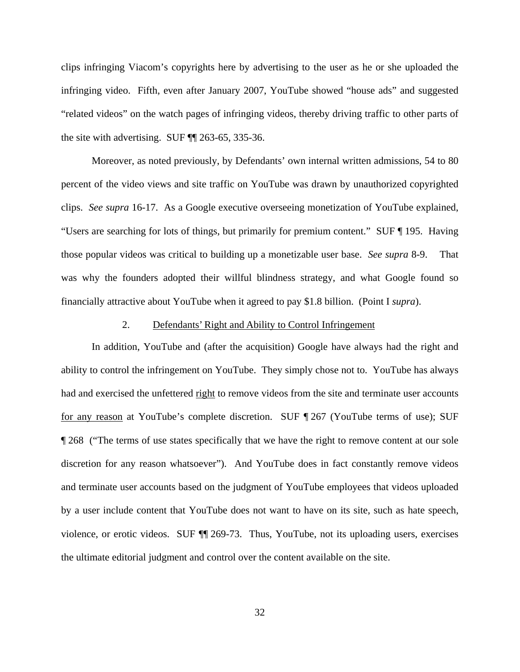clips infringing Viacom's copyrights here by advertising to the user as he or she uploaded the infringing video. Fifth, even after January 2007, YouTube showed "house ads" and suggested "related videos" on the watch pages of infringing videos, thereby driving traffic to other parts of the site with advertising. SUF ¶¶ 263-65, 335-36.

Moreover, as noted previously, by Defendants' own internal written admissions, 54 to 80 percent of the video views and site traffic on YouTube was drawn by unauthorized copyrighted clips. *See supra* 16-17. As a Google executive overseeing monetization of YouTube explained, "Users are searching for lots of things, but primarily for premium content." SUF ¶ 195. Having those popular videos was critical to building up a monetizable user base. *See supra* 8-9. That was why the founders adopted their willful blindness strategy, and what Google found so financially attractive about YouTube when it agreed to pay \$1.8 billion. (Point I *supra*).

#### 2. Defendants' Right and Ability to Control Infringement

In addition, YouTube and (after the acquisition) Google have always had the right and ability to control the infringement on YouTube. They simply chose not to. YouTube has always had and exercised the unfettered right to remove videos from the site and terminate user accounts for any reason at YouTube's complete discretion. SUF ¶ 267 (YouTube terms of use); SUF ¶ 268 ("The terms of use states specifically that we have the right to remove content at our sole discretion for any reason whatsoever"). And YouTube does in fact constantly remove videos and terminate user accounts based on the judgment of YouTube employees that videos uploaded by a user include content that YouTube does not want to have on its site, such as hate speech, violence, or erotic videos. SUF ¶¶ 269-73. Thus, YouTube, not its uploading users, exercises the ultimate editorial judgment and control over the content available on the site.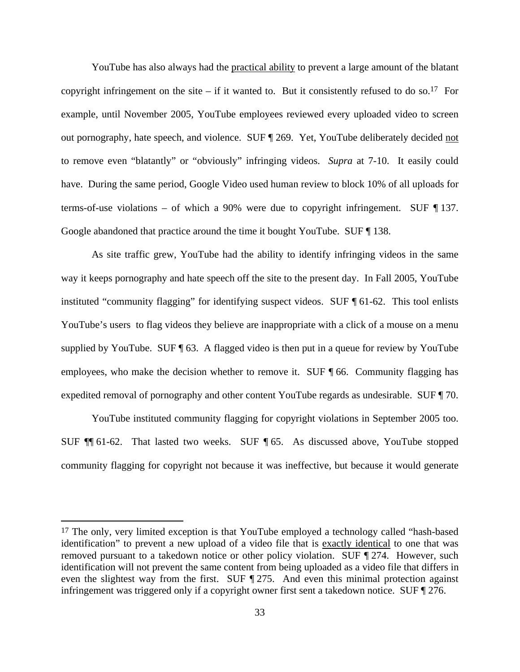YouTube has also always had the practical ability to prevent a large amount of the blatant copyright infringement on the site – if it wanted to. But it consistently refused to do so.<sup>17</sup> For example, until November 2005, YouTube employees reviewed every uploaded video to screen out pornography, hate speech, and violence. SUF ¶ 269. Yet, YouTube deliberately decided not to remove even "blatantly" or "obviously" infringing videos. *Supra* at 7-10. It easily could have. During the same period, Google Video used human review to block 10% of all uploads for terms-of-use violations – of which a 90% were due to copyright infringement. SUF  $\P$ 137. Google abandoned that practice around the time it bought YouTube. SUF ¶ 138.

As site traffic grew, YouTube had the ability to identify infringing videos in the same way it keeps pornography and hate speech off the site to the present day. In Fall 2005, YouTube instituted "community flagging" for identifying suspect videos. SUF ¶ 61-62. This tool enlists YouTube's users to flag videos they believe are inappropriate with a click of a mouse on a menu supplied by YouTube. SUF ¶ 63. A flagged video is then put in a queue for review by YouTube employees, who make the decision whether to remove it. SUF ¶ 66. Community flagging has expedited removal of pornography and other content YouTube regards as undesirable. SUF ¶ 70.

YouTube instituted community flagging for copyright violations in September 2005 too. SUF ¶¶ 61-62. That lasted two weeks. SUF ¶ 65. As discussed above, YouTube stopped community flagging for copyright not because it was ineffective, but because it would generate

<u>.</u>

<sup>&</sup>lt;sup>17</sup> The only, very limited exception is that YouTube employed a technology called "hash-based" identification" to prevent a new upload of a video file that is exactly identical to one that was removed pursuant to a takedown notice or other policy violation. SUF  $\P$ 274. However, such identification will not prevent the same content from being uploaded as a video file that differs in even the slightest way from the first. SUF ¶ 275. And even this minimal protection against infringement was triggered only if a copyright owner first sent a takedown notice. SUF ¶ 276.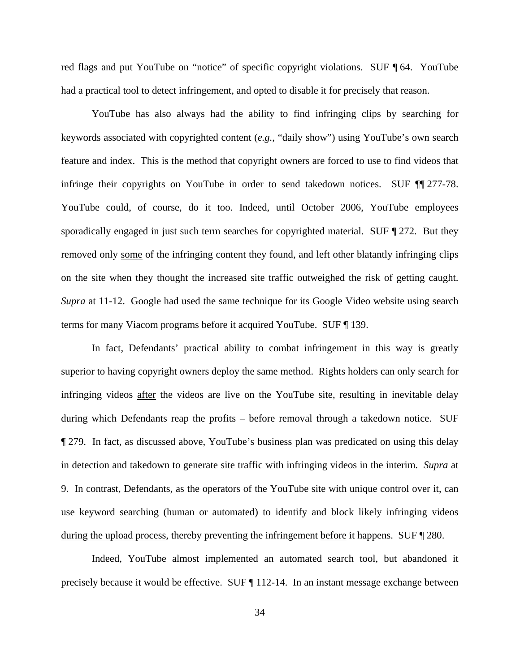red flags and put YouTube on "notice" of specific copyright violations. SUF ¶ 64. YouTube had a practical tool to detect infringement, and opted to disable it for precisely that reason.

YouTube has also always had the ability to find infringing clips by searching for keywords associated with copyrighted content (*e.g.*, "daily show") using YouTube's own search feature and index. This is the method that copyright owners are forced to use to find videos that infringe their copyrights on YouTube in order to send takedown notices. SUF ¶¶ 277-78. YouTube could, of course, do it too. Indeed, until October 2006, YouTube employees sporadically engaged in just such term searches for copyrighted material. SUF ¶ 272. But they removed only some of the infringing content they found, and left other blatantly infringing clips on the site when they thought the increased site traffic outweighed the risk of getting caught. *Supra* at 11-12. Google had used the same technique for its Google Video website using search terms for many Viacom programs before it acquired YouTube. SUF ¶ 139.

In fact, Defendants' practical ability to combat infringement in this way is greatly superior to having copyright owners deploy the same method. Rights holders can only search for infringing videos after the videos are live on the YouTube site, resulting in inevitable delay during which Defendants reap the profits – before removal through a takedown notice. SUF ¶ 279. In fact, as discussed above, YouTube's business plan was predicated on using this delay in detection and takedown to generate site traffic with infringing videos in the interim. *Supra* at 9. In contrast, Defendants, as the operators of the YouTube site with unique control over it, can use keyword searching (human or automated) to identify and block likely infringing videos during the upload process, thereby preventing the infringement before it happens. SUF ¶ 280.

Indeed, YouTube almost implemented an automated search tool, but abandoned it precisely because it would be effective. SUF ¶ 112-14. In an instant message exchange between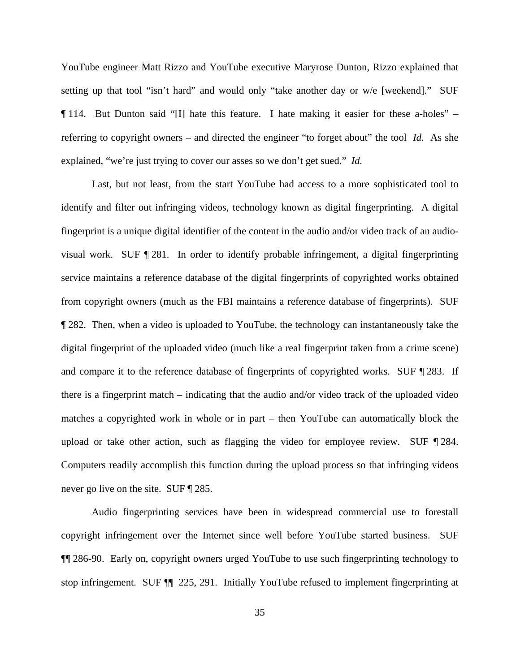YouTube engineer Matt Rizzo and YouTube executive Maryrose Dunton, Rizzo explained that setting up that tool "isn't hard" and would only "take another day or w/e [weekend]." SUF ¶ 114. But Dunton said "[I] hate this feature. I hate making it easier for these a-holes" – referring to copyright owners – and directed the engineer "to forget about" the tool *Id.* As she explained, "we're just trying to cover our asses so we don't get sued." *Id.*

Last, but not least, from the start YouTube had access to a more sophisticated tool to identify and filter out infringing videos, technology known as digital fingerprinting. A digital fingerprint is a unique digital identifier of the content in the audio and/or video track of an audiovisual work. SUF ¶ 281. In order to identify probable infringement, a digital fingerprinting service maintains a reference database of the digital fingerprints of copyrighted works obtained from copyright owners (much as the FBI maintains a reference database of fingerprints). SUF ¶ 282. Then, when a video is uploaded to YouTube, the technology can instantaneously take the digital fingerprint of the uploaded video (much like a real fingerprint taken from a crime scene) and compare it to the reference database of fingerprints of copyrighted works. SUF ¶ 283. If there is a fingerprint match – indicating that the audio and/or video track of the uploaded video matches a copyrighted work in whole or in part – then YouTube can automatically block the upload or take other action, such as flagging the video for employee review. SUF ¶ 284. Computers readily accomplish this function during the upload process so that infringing videos never go live on the site. SUF ¶ 285.

Audio fingerprinting services have been in widespread commercial use to forestall copyright infringement over the Internet since well before YouTube started business. SUF ¶¶ 286-90. Early on, copyright owners urged YouTube to use such fingerprinting technology to stop infringement. SUF ¶¶ 225, 291. Initially YouTube refused to implement fingerprinting at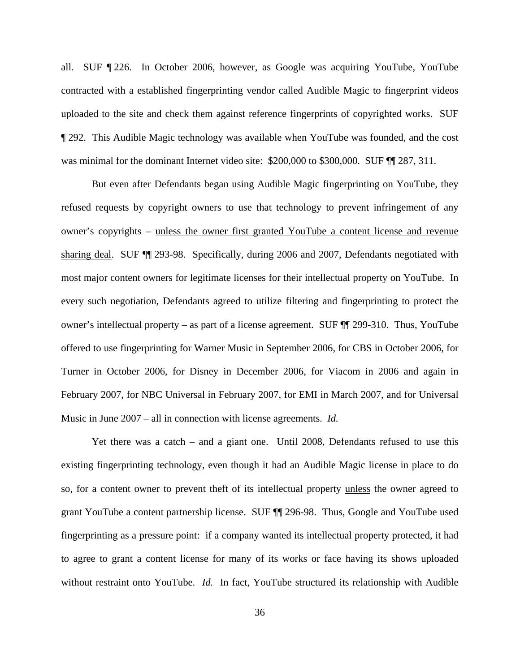all. SUF ¶ 226. In October 2006, however, as Google was acquiring YouTube, YouTube contracted with a established fingerprinting vendor called Audible Magic to fingerprint videos uploaded to the site and check them against reference fingerprints of copyrighted works. SUF ¶ 292. This Audible Magic technology was available when YouTube was founded, and the cost was minimal for the dominant Internet video site: \$200,000 to \$300,000. SUF  $\P$  287, 311.

But even after Defendants began using Audible Magic fingerprinting on YouTube, they refused requests by copyright owners to use that technology to prevent infringement of any owner's copyrights – unless the owner first granted YouTube a content license and revenue sharing deal. SUF ¶¶ 293-98. Specifically, during 2006 and 2007, Defendants negotiated with most major content owners for legitimate licenses for their intellectual property on YouTube. In every such negotiation, Defendants agreed to utilize filtering and fingerprinting to protect the owner's intellectual property – as part of a license agreement. SUF ¶¶ 299-310. Thus, YouTube offered to use fingerprinting for Warner Music in September 2006, for CBS in October 2006, for Turner in October 2006, for Disney in December 2006, for Viacom in 2006 and again in February 2007, for NBC Universal in February 2007, for EMI in March 2007, and for Universal Music in June 2007 – all in connection with license agreements. *Id.*

Yet there was a catch – and a giant one. Until 2008, Defendants refused to use this existing fingerprinting technology, even though it had an Audible Magic license in place to do so, for a content owner to prevent theft of its intellectual property unless the owner agreed to grant YouTube a content partnership license. SUF ¶¶ 296-98. Thus, Google and YouTube used fingerprinting as a pressure point: if a company wanted its intellectual property protected, it had to agree to grant a content license for many of its works or face having its shows uploaded without restraint onto YouTube. *Id.* In fact, YouTube structured its relationship with Audible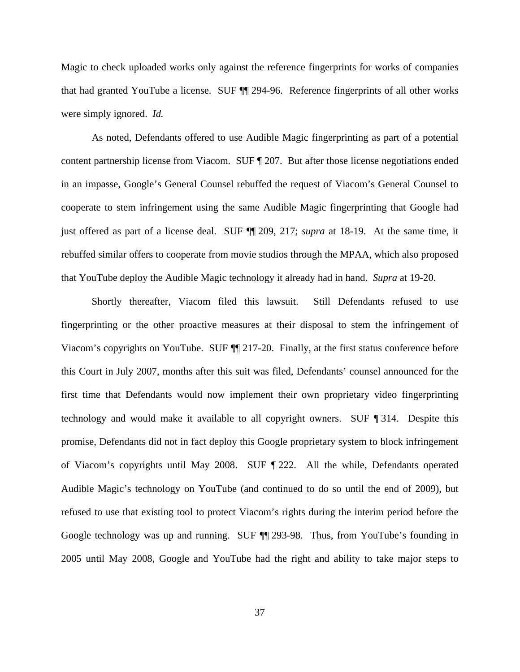Magic to check uploaded works only against the reference fingerprints for works of companies that had granted YouTube a license. SUF ¶¶ 294-96. Reference fingerprints of all other works were simply ignored. *Id.*

As noted, Defendants offered to use Audible Magic fingerprinting as part of a potential content partnership license from Viacom. SUF ¶ 207. But after those license negotiations ended in an impasse, Google's General Counsel rebuffed the request of Viacom's General Counsel to cooperate to stem infringement using the same Audible Magic fingerprinting that Google had just offered as part of a license deal. SUF ¶¶ 209, 217; *supra* at 18-19. At the same time, it rebuffed similar offers to cooperate from movie studios through the MPAA, which also proposed that YouTube deploy the Audible Magic technology it already had in hand. *Supra* at 19-20.

Shortly thereafter, Viacom filed this lawsuit. Still Defendants refused to use fingerprinting or the other proactive measures at their disposal to stem the infringement of Viacom's copyrights on YouTube. SUF ¶¶ 217-20. Finally, at the first status conference before this Court in July 2007, months after this suit was filed, Defendants' counsel announced for the first time that Defendants would now implement their own proprietary video fingerprinting technology and would make it available to all copyright owners. SUF ¶ 314. Despite this promise, Defendants did not in fact deploy this Google proprietary system to block infringement of Viacom's copyrights until May 2008. SUF ¶ 222. All the while, Defendants operated Audible Magic's technology on YouTube (and continued to do so until the end of 2009), but refused to use that existing tool to protect Viacom's rights during the interim period before the Google technology was up and running. SUF ¶¶ 293-98. Thus, from YouTube's founding in 2005 until May 2008, Google and YouTube had the right and ability to take major steps to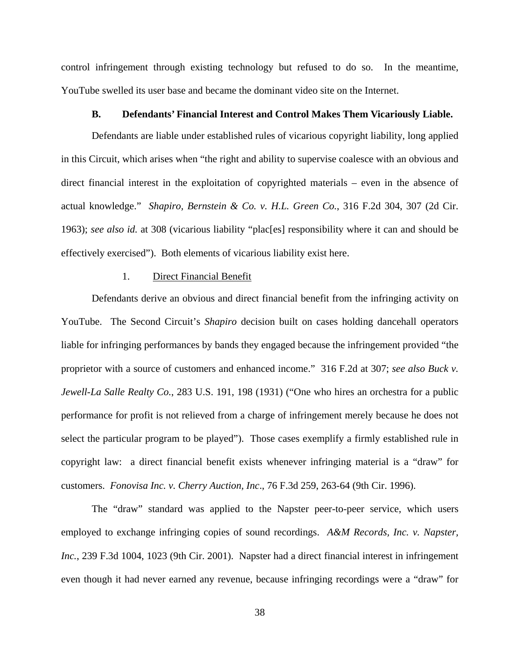control infringement through existing technology but refused to do so. In the meantime, YouTube swelled its user base and became the dominant video site on the Internet.

### **B. Defendants' Financial Interest and Control Makes Them Vicariously Liable.**

Defendants are liable under established rules of vicarious copyright liability, long applied in this Circuit, which arises when "the right and ability to supervise coalesce with an obvious and direct financial interest in the exploitation of copyrighted materials – even in the absence of actual knowledge." *Shapiro, Bernstein & Co. v. H.L. Green Co.*, 316 F.2d 304, 307 (2d Cir. 1963); *see also id.* at 308 (vicarious liability "plac[es] responsibility where it can and should be effectively exercised"). Both elements of vicarious liability exist here.

#### 1. Direct Financial Benefit

Defendants derive an obvious and direct financial benefit from the infringing activity on YouTube. The Second Circuit's *Shapiro* decision built on cases holding dancehall operators liable for infringing performances by bands they engaged because the infringement provided "the proprietor with a source of customers and enhanced income." 316 F.2d at 307; *see also Buck v. Jewell-La Salle Realty Co.*, 283 U.S. 191, 198 (1931) ("One who hires an orchestra for a public performance for profit is not relieved from a charge of infringement merely because he does not select the particular program to be played"). Those cases exemplify a firmly established rule in copyright law: a direct financial benefit exists whenever infringing material is a "draw" for customers. *Fonovisa Inc. v. Cherry Auction, Inc*., 76 F.3d 259, 263-64 (9th Cir. 1996).

The "draw" standard was applied to the Napster peer-to-peer service, which users employed to exchange infringing copies of sound recordings. *A&M Records, Inc. v. Napster, Inc.*, 239 F.3d 1004, 1023 (9th Cir. 2001). Napster had a direct financial interest in infringement even though it had never earned any revenue, because infringing recordings were a "draw" for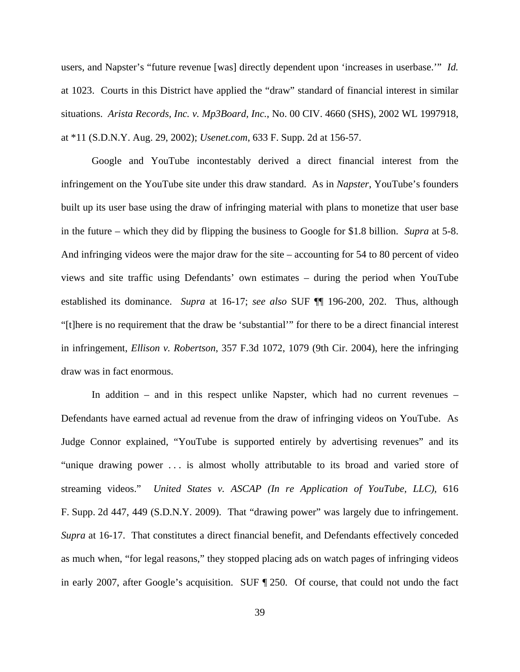users, and Napster's "future revenue [was] directly dependent upon 'increases in userbase.'" *Id.* at 1023. Courts in this District have applied the "draw" standard of financial interest in similar situations. *Arista Records, Inc. v. Mp3Board, Inc.*, No. 00 CIV. 4660 (SHS), 2002 WL 1997918, at \*11 (S.D.N.Y. Aug. 29, 2002); *Usenet.com*, 633 F. Supp. 2d at 156-57.

Google and YouTube incontestably derived a direct financial interest from the infringement on the YouTube site under this draw standard. As in *Napster*, YouTube's founders built up its user base using the draw of infringing material with plans to monetize that user base in the future – which they did by flipping the business to Google for \$1.8 billion. *Supra* at 5-8. And infringing videos were the major draw for the site – accounting for 54 to 80 percent of video views and site traffic using Defendants' own estimates – during the period when YouTube established its dominance. *Supra* at 16-17; *see also* SUF ¶¶ 196-200, 202. Thus, although "[t]here is no requirement that the draw be 'substantial'" for there to be a direct financial interest in infringement, *Ellison v. Robertson*, 357 F.3d 1072, 1079 (9th Cir. 2004), here the infringing draw was in fact enormous.

In addition – and in this respect unlike Napster, which had no current revenues – Defendants have earned actual ad revenue from the draw of infringing videos on YouTube. As Judge Connor explained, "YouTube is supported entirely by advertising revenues" and its "unique drawing power . . . is almost wholly attributable to its broad and varied store of streaming videos." *United States v. ASCAP (In re Application of YouTube, LLC)*, 616 F. Supp. 2d 447, 449 (S.D.N.Y. 2009). That "drawing power" was largely due to infringement. *Supra* at 16-17. That constitutes a direct financial benefit, and Defendants effectively conceded as much when, "for legal reasons," they stopped placing ads on watch pages of infringing videos in early 2007, after Google's acquisition. SUF ¶ 250. Of course, that could not undo the fact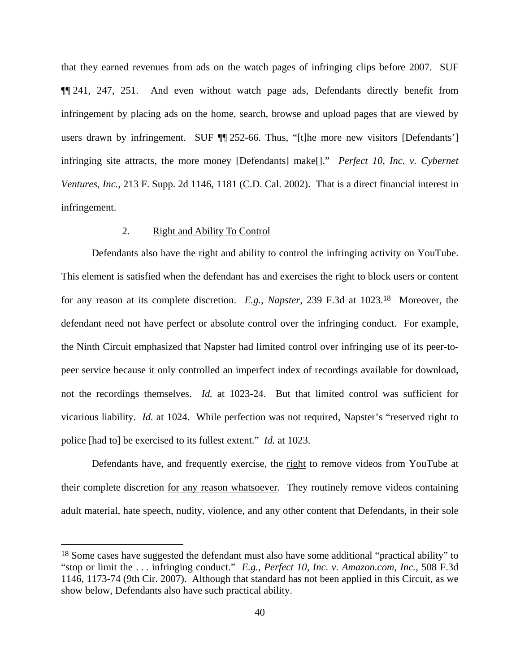that they earned revenues from ads on the watch pages of infringing clips before 2007. SUF ¶¶ 241, 247, 251. And even without watch page ads, Defendants directly benefit from infringement by placing ads on the home, search, browse and upload pages that are viewed by users drawn by infringement. SUF  $\P$  252-66. Thus, "[t]he more new visitors [Defendants'] infringing site attracts, the more money [Defendants] make[]." *Perfect 10, Inc. v. Cybernet Ventures, Inc.*, 213 F. Supp. 2d 1146, 1181 (C.D. Cal. 2002). That is a direct financial interest in infringement.

## 2. Right and Ability To Control

 $\overline{a}$ 

Defendants also have the right and ability to control the infringing activity on YouTube. This element is satisfied when the defendant has and exercises the right to block users or content for any reason at its complete discretion. *E.g.*, *Napster*, 239 F.3d at 1023.18 Moreover, the defendant need not have perfect or absolute control over the infringing conduct. For example, the Ninth Circuit emphasized that Napster had limited control over infringing use of its peer-topeer service because it only controlled an imperfect index of recordings available for download, not the recordings themselves. *Id.* at 1023-24. But that limited control was sufficient for vicarious liability. *Id.* at 1024. While perfection was not required, Napster's "reserved right to police [had to] be exercised to its fullest extent." *Id.* at 1023.

Defendants have, and frequently exercise, the right to remove videos from YouTube at their complete discretion for any reason whatsoever. They routinely remove videos containing adult material, hate speech, nudity, violence, and any other content that Defendants, in their sole

<sup>&</sup>lt;sup>18</sup> Some cases have suggested the defendant must also have some additional "practical ability" to "stop or limit the . . . infringing conduct." *E.g.*, *Perfect 10, Inc. v. Amazon.com, Inc.*, 508 F.3d 1146, 1173-74 (9th Cir. 2007). Although that standard has not been applied in this Circuit, as we show below, Defendants also have such practical ability.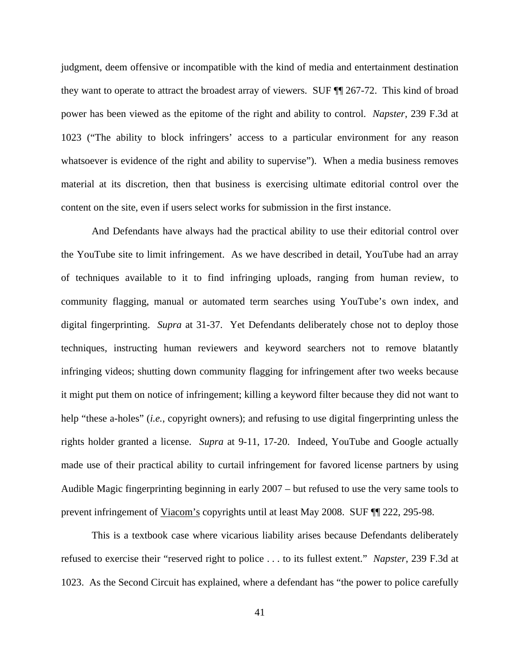judgment, deem offensive or incompatible with the kind of media and entertainment destination they want to operate to attract the broadest array of viewers. SUF ¶¶ 267-72. This kind of broad power has been viewed as the epitome of the right and ability to control. *Napster*, 239 F.3d at 1023 ("The ability to block infringers' access to a particular environment for any reason whatsoever is evidence of the right and ability to supervise"). When a media business removes material at its discretion, then that business is exercising ultimate editorial control over the content on the site, even if users select works for submission in the first instance.

And Defendants have always had the practical ability to use their editorial control over the YouTube site to limit infringement. As we have described in detail, YouTube had an array of techniques available to it to find infringing uploads, ranging from human review, to community flagging, manual or automated term searches using YouTube's own index, and digital fingerprinting. *Supra* at 31-37. Yet Defendants deliberately chose not to deploy those techniques, instructing human reviewers and keyword searchers not to remove blatantly infringing videos; shutting down community flagging for infringement after two weeks because it might put them on notice of infringement; killing a keyword filter because they did not want to help "these a-holes" (*i.e.*, copyright owners); and refusing to use digital fingerprinting unless the rights holder granted a license. *Supra* at 9-11, 17-20. Indeed, YouTube and Google actually made use of their practical ability to curtail infringement for favored license partners by using Audible Magic fingerprinting beginning in early 2007 – but refused to use the very same tools to prevent infringement of Viacom's copyrights until at least May 2008. SUF ¶¶ 222, 295-98.

This is a textbook case where vicarious liability arises because Defendants deliberately refused to exercise their "reserved right to police . . . to its fullest extent." *Napster*, 239 F.3d at 1023. As the Second Circuit has explained, where a defendant has "the power to police carefully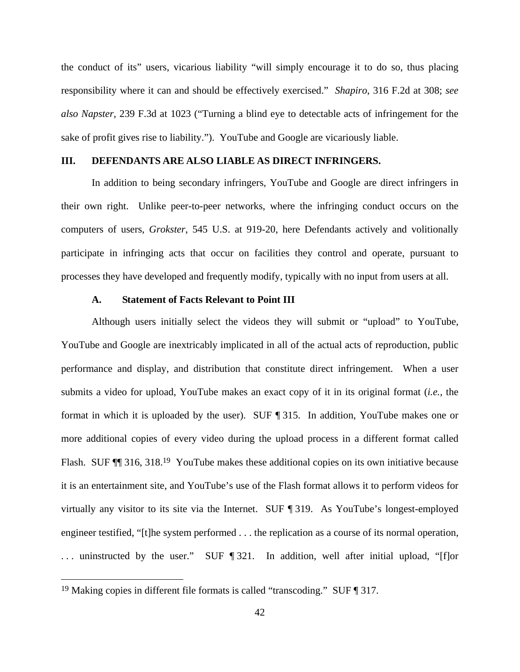the conduct of its" users, vicarious liability "will simply encourage it to do so, thus placing responsibility where it can and should be effectively exercised." *Shapiro*, 316 F.2d at 308; *see also Napster*, 239 F.3d at 1023 ("Turning a blind eye to detectable acts of infringement for the sake of profit gives rise to liability."). YouTube and Google are vicariously liable.

## **III. DEFENDANTS ARE ALSO LIABLE AS DIRECT INFRINGERS.**

In addition to being secondary infringers, YouTube and Google are direct infringers in their own right. Unlike peer-to-peer networks, where the infringing conduct occurs on the computers of users, *Grokster*, 545 U.S. at 919-20, here Defendants actively and volitionally participate in infringing acts that occur on facilities they control and operate, pursuant to processes they have developed and frequently modify, typically with no input from users at all.

#### **A. Statement of Facts Relevant to Point III**

Although users initially select the videos they will submit or "upload" to YouTube, YouTube and Google are inextricably implicated in all of the actual acts of reproduction, public performance and display, and distribution that constitute direct infringement. When a user submits a video for upload, YouTube makes an exact copy of it in its original format (*i.e.*, the format in which it is uploaded by the user). SUF ¶ 315. In addition, YouTube makes one or more additional copies of every video during the upload process in a different format called Flash. SUF  $\P$  316, 318.<sup>19</sup> YouTube makes these additional copies on its own initiative because it is an entertainment site, and YouTube's use of the Flash format allows it to perform videos for virtually any visitor to its site via the Internet. SUF ¶ 319. As YouTube's longest-employed engineer testified, "[t]he system performed . . . the replication as a course of its normal operation, ... uninstructed by the user." SUF ¶ 321. In addition, well after initial upload, "[f]or

 $\overline{a}$ 

<sup>19</sup> Making copies in different file formats is called "transcoding." SUF ¶ 317.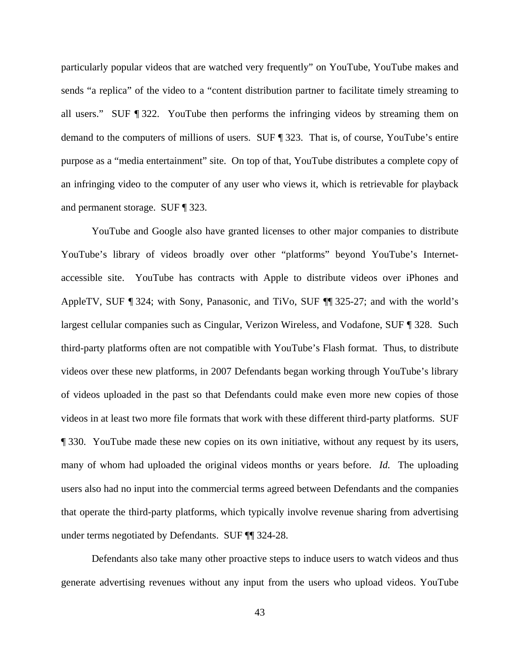particularly popular videos that are watched very frequently" on YouTube, YouTube makes and sends "a replica" of the video to a "content distribution partner to facilitate timely streaming to all users." SUF ¶ 322. YouTube then performs the infringing videos by streaming them on demand to the computers of millions of users. SUF ¶ 323. That is, of course, YouTube's entire purpose as a "media entertainment" site. On top of that, YouTube distributes a complete copy of an infringing video to the computer of any user who views it, which is retrievable for playback and permanent storage. SUF ¶ 323.

YouTube and Google also have granted licenses to other major companies to distribute YouTube's library of videos broadly over other "platforms" beyond YouTube's Internetaccessible site. YouTube has contracts with Apple to distribute videos over iPhones and AppleTV, SUF ¶ 324; with Sony, Panasonic, and TiVo, SUF ¶¶ 325-27; and with the world's largest cellular companies such as Cingular, Verizon Wireless, and Vodafone, SUF ¶ 328. Such third-party platforms often are not compatible with YouTube's Flash format. Thus, to distribute videos over these new platforms, in 2007 Defendants began working through YouTube's library of videos uploaded in the past so that Defendants could make even more new copies of those videos in at least two more file formats that work with these different third-party platforms. SUF ¶ 330. YouTube made these new copies on its own initiative, without any request by its users, many of whom had uploaded the original videos months or years before. *Id.* The uploading users also had no input into the commercial terms agreed between Defendants and the companies that operate the third-party platforms, which typically involve revenue sharing from advertising under terms negotiated by Defendants. SUF ¶¶ 324-28.

Defendants also take many other proactive steps to induce users to watch videos and thus generate advertising revenues without any input from the users who upload videos. YouTube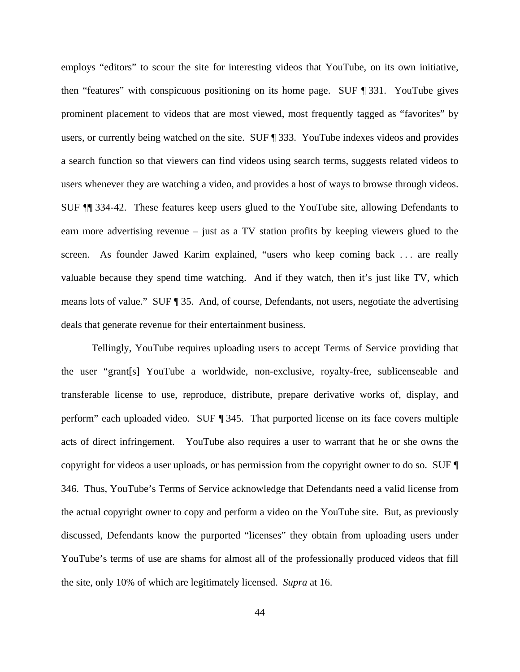employs "editors" to scour the site for interesting videos that YouTube, on its own initiative, then "features" with conspicuous positioning on its home page. SUF ¶ 331. YouTube gives prominent placement to videos that are most viewed, most frequently tagged as "favorites" by users, or currently being watched on the site. SUF ¶ 333. YouTube indexes videos and provides a search function so that viewers can find videos using search terms, suggests related videos to users whenever they are watching a video, and provides a host of ways to browse through videos. SUF ¶¶ 334-42. These features keep users glued to the YouTube site, allowing Defendants to earn more advertising revenue – just as a TV station profits by keeping viewers glued to the screen. As founder Jawed Karim explained, "users who keep coming back . . . are really valuable because they spend time watching. And if they watch, then it's just like TV, which means lots of value." SUF ¶ 35. And, of course, Defendants, not users, negotiate the advertising deals that generate revenue for their entertainment business.

Tellingly, YouTube requires uploading users to accept Terms of Service providing that the user "grant[s] YouTube a worldwide, non-exclusive, royalty-free, sublicenseable and transferable license to use, reproduce, distribute, prepare derivative works of, display, and perform" each uploaded video. SUF ¶ 345. That purported license on its face covers multiple acts of direct infringement. YouTube also requires a user to warrant that he or she owns the copyright for videos a user uploads, or has permission from the copyright owner to do so. SUF ¶ 346. Thus, YouTube's Terms of Service acknowledge that Defendants need a valid license from the actual copyright owner to copy and perform a video on the YouTube site. But, as previously discussed, Defendants know the purported "licenses" they obtain from uploading users under YouTube's terms of use are shams for almost all of the professionally produced videos that fill the site, only 10% of which are legitimately licensed. *Supra* at 16.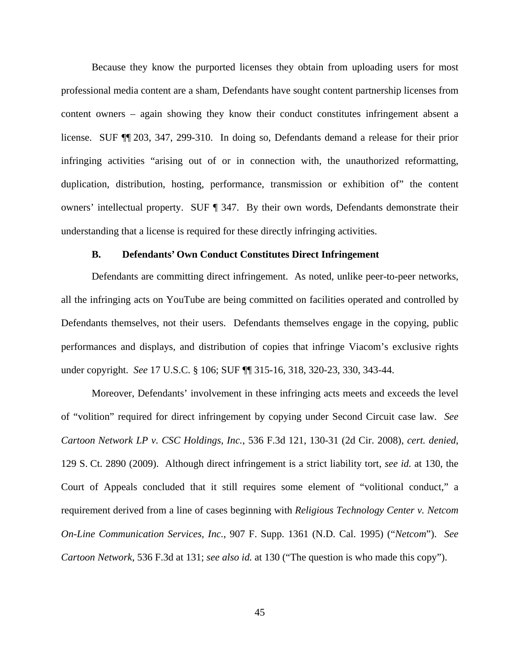Because they know the purported licenses they obtain from uploading users for most professional media content are a sham, Defendants have sought content partnership licenses from content owners – again showing they know their conduct constitutes infringement absent a license. SUF ¶¶ 203, 347, 299-310. In doing so, Defendants demand a release for their prior infringing activities "arising out of or in connection with, the unauthorized reformatting, duplication, distribution, hosting, performance, transmission or exhibition of" the content owners' intellectual property. SUF ¶ 347. By their own words, Defendants demonstrate their understanding that a license is required for these directly infringing activities.

#### **B. Defendants' Own Conduct Constitutes Direct Infringement**

Defendants are committing direct infringement. As noted, unlike peer-to-peer networks, all the infringing acts on YouTube are being committed on facilities operated and controlled by Defendants themselves, not their users. Defendants themselves engage in the copying, public performances and displays, and distribution of copies that infringe Viacom's exclusive rights under copyright. *See* 17 U.S.C. § 106; SUF ¶¶ 315-16, 318, 320-23, 330, 343-44.

Moreover, Defendants' involvement in these infringing acts meets and exceeds the level of "volition" required for direct infringement by copying under Second Circuit case law. *See Cartoon Network LP v. CSC Holdings, Inc.*, 536 F.3d 121, 130-31 (2d Cir. 2008), *cert. denied*, 129 S. Ct. 2890 (2009). Although direct infringement is a strict liability tort, *see id.* at 130, the Court of Appeals concluded that it still requires some element of "volitional conduct," a requirement derived from a line of cases beginning with *Religious Technology Center v. Netcom On-Line Communication Services, Inc.*, 907 F. Supp. 1361 (N.D. Cal. 1995) ("*Netcom*"). *See Cartoon Network*, 536 F.3d at 131; *see also id.* at 130 ("The question is who made this copy").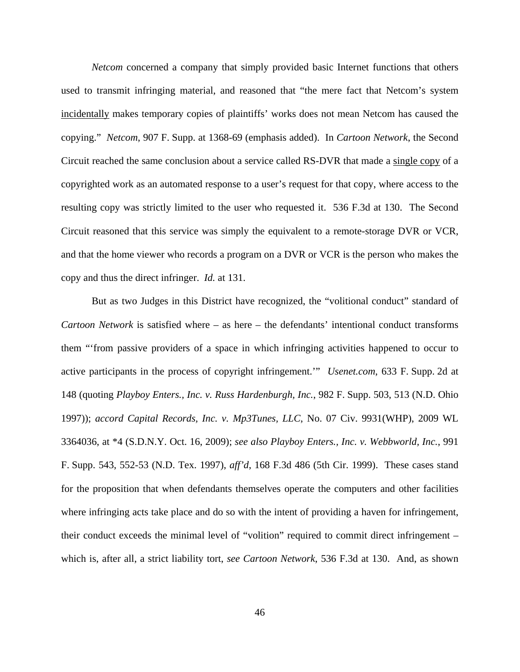*Netcom* concerned a company that simply provided basic Internet functions that others used to transmit infringing material, and reasoned that "the mere fact that Netcom's system incidentally makes temporary copies of plaintiffs' works does not mean Netcom has caused the copying." *Netcom*, 907 F. Supp. at 1368-69 (emphasis added). In *Cartoon Network*, the Second Circuit reached the same conclusion about a service called RS-DVR that made a single copy of a copyrighted work as an automated response to a user's request for that copy, where access to the resulting copy was strictly limited to the user who requested it. 536 F.3d at 130. The Second Circuit reasoned that this service was simply the equivalent to a remote-storage DVR or VCR, and that the home viewer who records a program on a DVR or VCR is the person who makes the copy and thus the direct infringer. *Id.* at 131.

But as two Judges in this District have recognized, the "volitional conduct" standard of *Cartoon Network* is satisfied where – as here – the defendants' intentional conduct transforms them "'from passive providers of a space in which infringing activities happened to occur to active participants in the process of copyright infringement.'" *Usenet.com*, 633 F. Supp. 2d at 148 (quoting *Playboy Enters., Inc. v. Russ Hardenburgh, Inc.*, 982 F. Supp. 503, 513 (N.D. Ohio 1997)); *accord Capital Records, Inc. v. Mp3Tunes, LLC*, No. 07 Civ. 9931(WHP), 2009 WL 3364036, at \*4 (S.D.N.Y. Oct. 16, 2009); *see also Playboy Enters., Inc. v. Webbworld, Inc.*, 991 F. Supp. 543, 552-53 (N.D. Tex. 1997), *aff'd*, 168 F.3d 486 (5th Cir. 1999). These cases stand for the proposition that when defendants themselves operate the computers and other facilities where infringing acts take place and do so with the intent of providing a haven for infringement, their conduct exceeds the minimal level of "volition" required to commit direct infringement – which is, after all, a strict liability tort, *see Cartoon Network*, 536 F.3d at 130. And, as shown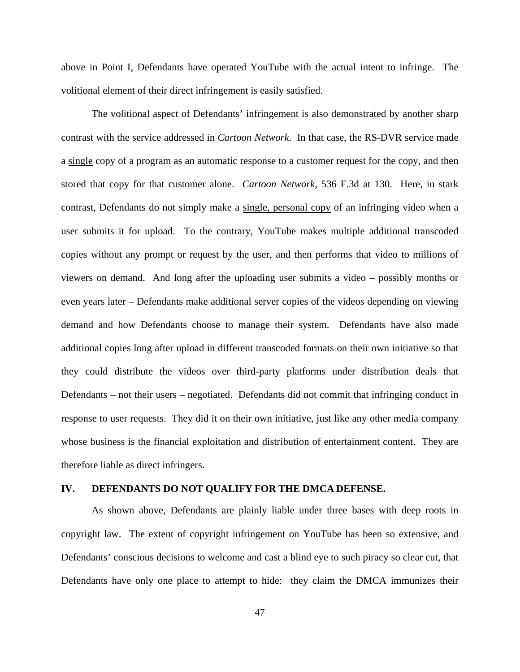above in Point I, Defendants have operated YouTube with the actual intent to infringe. The volitional element of their direct infringement is easily satisfied.

The volitional aspect of Defendants' infringement is also demonstrated by another sharp contrast with the service addressed in *Cartoon Network*. In that case, the RS-DVR service made a single copy of a program as an automatic response to a customer request for the copy, and then stored that copy for that customer alone. *Cartoon Network*, 536 F.3d at 130. Here, in stark contrast, Defendants do not simply make a single, personal copy of an infringing video when a user submits it for upload. To the contrary, YouTube makes multiple additional transcoded copies without any prompt or request by the user, and then performs that video to millions of viewers on demand. And long after the uploading user submits a video – possibly months or even years later – Defendants make additional server copies of the videos depending on viewing demand and how Defendants choose to manage their system. Defendants have also made additional copies long after upload in different transcoded formats on their own initiative so that they could distribute the videos over third-party platforms under distribution deals that Defendants – not their users – negotiated. Defendants did not commit that infringing conduct in response to user requests. They did it on their own initiative, just like any other media company whose business is the financial exploitation and distribution of entertainment content. They are therefore liable as direct infringers.

#### **IV. DEFENDANTS DO NOT QUALIFY FOR THE DMCA DEFENSE.**

As shown above, Defendants are plainly liable under three bases with deep roots in copyright law. The extent of copyright infringement on YouTube has been so extensive, and Defendants' conscious decisions to welcome and cast a blind eye to such piracy so clear cut, that Defendants have only one place to attempt to hide: they claim the DMCA immunizes their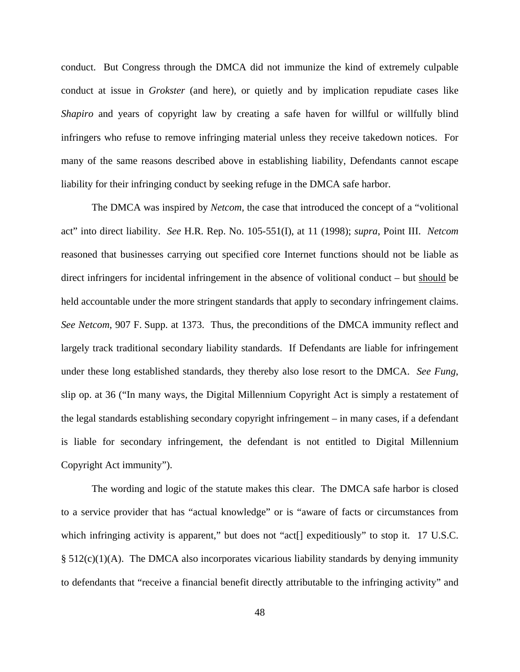conduct. But Congress through the DMCA did not immunize the kind of extremely culpable conduct at issue in *Grokster* (and here), or quietly and by implication repudiate cases like *Shapiro* and years of copyright law by creating a safe haven for willful or willfully blind infringers who refuse to remove infringing material unless they receive takedown notices. For many of the same reasons described above in establishing liability, Defendants cannot escape liability for their infringing conduct by seeking refuge in the DMCA safe harbor.

The DMCA was inspired by *Netcom*, the case that introduced the concept of a "volitional act" into direct liability. *See* H.R. Rep. No. 105-551(I), at 11 (1998); *supra*, Point III. *Netcom* reasoned that businesses carrying out specified core Internet functions should not be liable as direct infringers for incidental infringement in the absence of volitional conduct – but should be held accountable under the more stringent standards that apply to secondary infringement claims. *See Netcom*, 907 F. Supp. at 1373. Thus, the preconditions of the DMCA immunity reflect and largely track traditional secondary liability standards. If Defendants are liable for infringement under these long established standards, they thereby also lose resort to the DMCA. *See Fung*, slip op. at 36 ("In many ways, the Digital Millennium Copyright Act is simply a restatement of the legal standards establishing secondary copyright infringement – in many cases, if a defendant is liable for secondary infringement, the defendant is not entitled to Digital Millennium Copyright Act immunity").

The wording and logic of the statute makes this clear. The DMCA safe harbor is closed to a service provider that has "actual knowledge" or is "aware of facts or circumstances from which infringing activity is apparent," but does not "act<sup>[]</sup> expeditiously" to stop it. 17 U.S.C.  $§ 512(c)(1)(A)$ . The DMCA also incorporates vicarious liability standards by denying immunity to defendants that "receive a financial benefit directly attributable to the infringing activity" and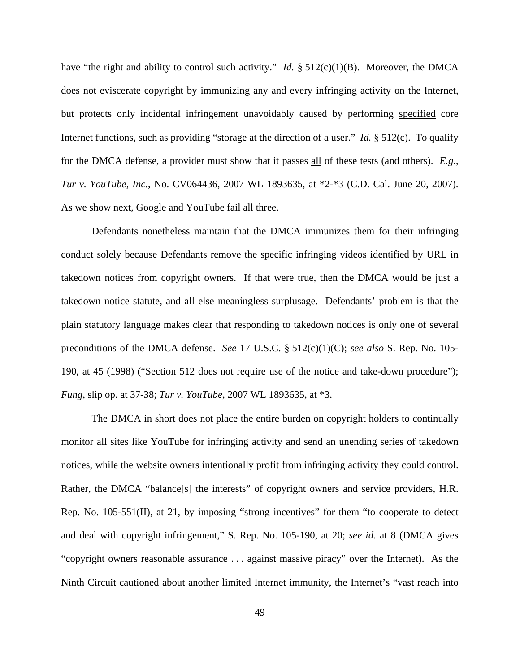have "the right and ability to control such activity." *Id.* § 512(c)(1)(B). Moreover, the DMCA does not eviscerate copyright by immunizing any and every infringing activity on the Internet, but protects only incidental infringement unavoidably caused by performing specified core Internet functions, such as providing "storage at the direction of a user." *Id.* § 512(c). To qualify for the DMCA defense, a provider must show that it passes all of these tests (and others). *E.g.*, *Tur v. YouTube, Inc.*, No. CV064436, 2007 WL 1893635, at \*2-\*3 (C.D. Cal. June 20, 2007). As we show next, Google and YouTube fail all three.

Defendants nonetheless maintain that the DMCA immunizes them for their infringing conduct solely because Defendants remove the specific infringing videos identified by URL in takedown notices from copyright owners. If that were true, then the DMCA would be just a takedown notice statute, and all else meaningless surplusage. Defendants' problem is that the plain statutory language makes clear that responding to takedown notices is only one of several preconditions of the DMCA defense. *See* 17 U.S.C. § 512(c)(1)(C); *see also* S. Rep. No. 105- 190, at 45 (1998) ("Section 512 does not require use of the notice and take-down procedure"); *Fung*, slip op. at 37-38; *Tur v. YouTube*, 2007 WL 1893635, at \*3.

The DMCA in short does not place the entire burden on copyright holders to continually monitor all sites like YouTube for infringing activity and send an unending series of takedown notices, while the website owners intentionally profit from infringing activity they could control. Rather, the DMCA "balance[s] the interests" of copyright owners and service providers, H.R. Rep. No. 105-551(II), at 21, by imposing "strong incentives" for them "to cooperate to detect and deal with copyright infringement," S. Rep. No. 105-190, at 20; *see id.* at 8 (DMCA gives "copyright owners reasonable assurance . . . against massive piracy" over the Internet). As the Ninth Circuit cautioned about another limited Internet immunity, the Internet's "vast reach into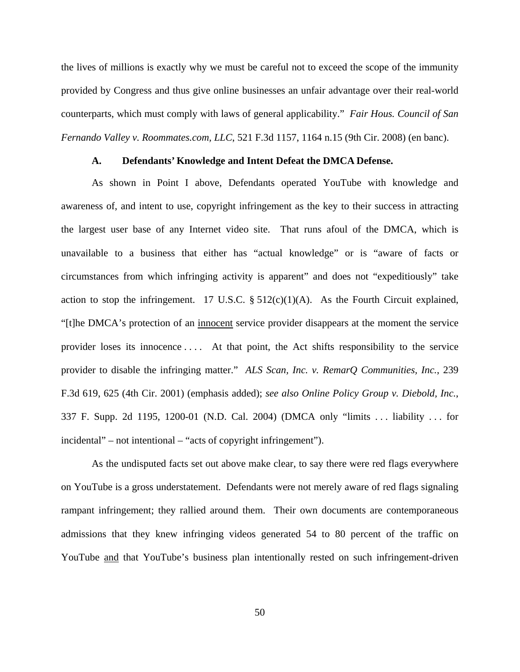the lives of millions is exactly why we must be careful not to exceed the scope of the immunity provided by Congress and thus give online businesses an unfair advantage over their real-world counterparts, which must comply with laws of general applicability." *Fair Hous. Council of San Fernando Valley v. Roommates.com, LLC*, 521 F.3d 1157, 1164 n.15 (9th Cir. 2008) (en banc).

#### **A. Defendants' Knowledge and Intent Defeat the DMCA Defense.**

As shown in Point I above, Defendants operated YouTube with knowledge and awareness of, and intent to use, copyright infringement as the key to their success in attracting the largest user base of any Internet video site. That runs afoul of the DMCA, which is unavailable to a business that either has "actual knowledge" or is "aware of facts or circumstances from which infringing activity is apparent" and does not "expeditiously" take action to stop the infringement. 17 U.S.C.  $\S 512(c)(1)(A)$ . As the Fourth Circuit explained, "[t]he DMCA's protection of an innocent service provider disappears at the moment the service provider loses its innocence . . . . At that point, the Act shifts responsibility to the service provider to disable the infringing matter." *ALS Scan, Inc. v. RemarQ Communities, Inc.*, 239 F.3d 619, 625 (4th Cir. 2001) (emphasis added); *see also Online Policy Group v. Diebold, Inc.*, 337 F. Supp. 2d 1195, 1200-01 (N.D. Cal. 2004) (DMCA only "limits . . . liability . . . for incidental" – not intentional – "acts of copyright infringement").

As the undisputed facts set out above make clear, to say there were red flags everywhere on YouTube is a gross understatement. Defendants were not merely aware of red flags signaling rampant infringement; they rallied around them. Their own documents are contemporaneous admissions that they knew infringing videos generated 54 to 80 percent of the traffic on YouTube and that YouTube's business plan intentionally rested on such infringement-driven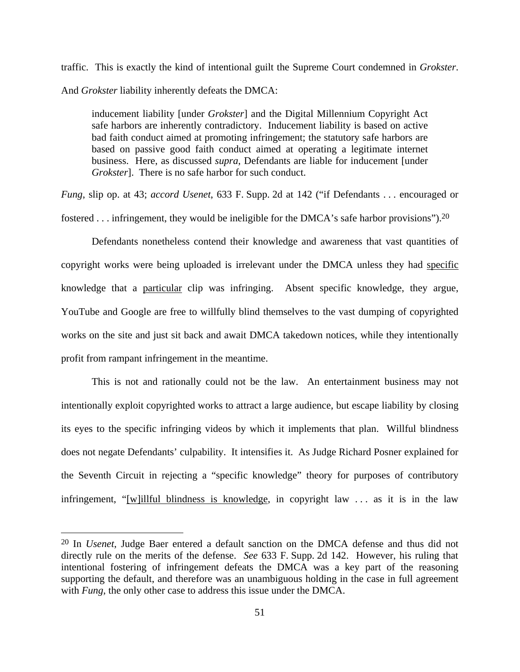traffic. This is exactly the kind of intentional guilt the Supreme Court condemned in *Grokster*. And *Grokster* liability inherently defeats the DMCA:

inducement liability [under *Grokster*] and the Digital Millennium Copyright Act safe harbors are inherently contradictory. Inducement liability is based on active bad faith conduct aimed at promoting infringement; the statutory safe harbors are based on passive good faith conduct aimed at operating a legitimate internet business. Here, as discussed *supra*, Defendants are liable for inducement [under *Grokster*]. There is no safe harbor for such conduct.

*Fung*, slip op. at 43; *accord Usenet*, 633 F. Supp. 2d at 142 ("if Defendants . . . encouraged or fostered . . . infringement, they would be ineligible for the DMCA's safe harbor provisions").20

Defendants nonetheless contend their knowledge and awareness that vast quantities of copyright works were being uploaded is irrelevant under the DMCA unless they had specific knowledge that a particular clip was infringing. Absent specific knowledge, they argue, YouTube and Google are free to willfully blind themselves to the vast dumping of copyrighted works on the site and just sit back and await DMCA takedown notices, while they intentionally profit from rampant infringement in the meantime.

This is not and rationally could not be the law. An entertainment business may not intentionally exploit copyrighted works to attract a large audience, but escape liability by closing its eyes to the specific infringing videos by which it implements that plan. Willful blindness does not negate Defendants' culpability. It intensifies it. As Judge Richard Posner explained for the Seventh Circuit in rejecting a "specific knowledge" theory for purposes of contributory infringement, "[w]illful blindness is knowledge, in copyright law . . . as it is in the law

<u>.</u>

<sup>20</sup> In *Usenet*, Judge Baer entered a default sanction on the DMCA defense and thus did not directly rule on the merits of the defense. *See* 633 F. Supp. 2d 142. However, his ruling that intentional fostering of infringement defeats the DMCA was a key part of the reasoning supporting the default, and therefore was an unambiguous holding in the case in full agreement with *Fung*, the only other case to address this issue under the DMCA.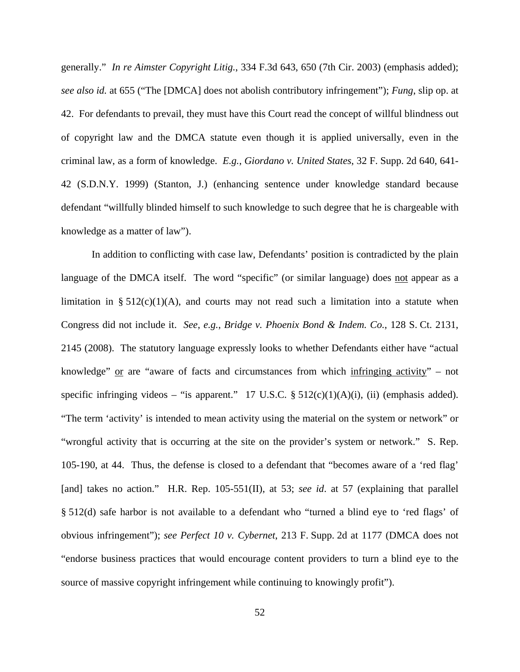generally." *In re Aimster Copyright Litig.*, 334 F.3d 643, 650 (7th Cir. 2003) (emphasis added); *see also id.* at 655 ("The [DMCA] does not abolish contributory infringement"); *Fung*, slip op. at 42. For defendants to prevail, they must have this Court read the concept of willful blindness out of copyright law and the DMCA statute even though it is applied universally, even in the criminal law, as a form of knowledge. *E.g.*, *Giordano v. United States*, 32 F. Supp. 2d 640, 641- 42 (S.D.N.Y. 1999) (Stanton, J.) (enhancing sentence under knowledge standard because defendant "willfully blinded himself to such knowledge to such degree that he is chargeable with knowledge as a matter of law").

In addition to conflicting with case law, Defendants' position is contradicted by the plain language of the DMCA itself. The word "specific" (or similar language) does not appear as a limitation in § 512(c)(1)(A), and courts may not read such a limitation into a statute when Congress did not include it. *See*, *e.g.*, *Bridge v. Phoenix Bond & Indem. Co.*, 128 S. Ct. 2131, 2145 (2008). The statutory language expressly looks to whether Defendants either have "actual knowledge" or are "aware of facts and circumstances from which infringing activity" – not specific infringing videos – "is apparent." 17 U.S.C.  $\S 512(c)(1)(A)(i)$ , (ii) (emphasis added). "The term 'activity' is intended to mean activity using the material on the system or network" or "wrongful activity that is occurring at the site on the provider's system or network." S. Rep. 105-190, at 44. Thus, the defense is closed to a defendant that "becomes aware of a 'red flag' [and] takes no action." H.R. Rep. 105-551(II), at 53; *see id.* at 57 (explaining that parallel § 512(d) safe harbor is not available to a defendant who "turned a blind eye to 'red flags' of obvious infringement"); *see Perfect 10 v. Cybernet*, 213 F. Supp. 2d at 1177 (DMCA does not "endorse business practices that would encourage content providers to turn a blind eye to the source of massive copyright infringement while continuing to knowingly profit").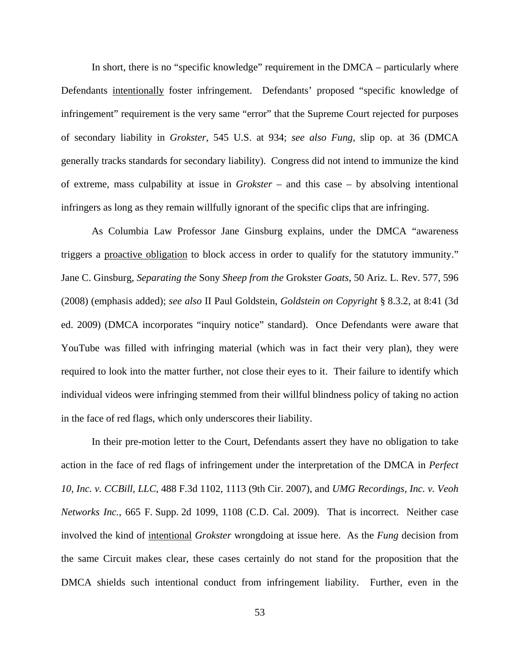In short, there is no "specific knowledge" requirement in the DMCA – particularly where Defendants intentionally foster infringement. Defendants' proposed "specific knowledge of infringement" requirement is the very same "error" that the Supreme Court rejected for purposes of secondary liability in *Grokster*, 545 U.S. at 934; *see also Fung*, slip op. at 36 (DMCA generally tracks standards for secondary liability). Congress did not intend to immunize the kind of extreme, mass culpability at issue in *Grokster* – and this case – by absolving intentional infringers as long as they remain willfully ignorant of the specific clips that are infringing.

As Columbia Law Professor Jane Ginsburg explains, under the DMCA "awareness triggers a proactive obligation to block access in order to qualify for the statutory immunity." Jane C. Ginsburg*, Separating the* Sony *Sheep from the* Grokster *Goats*, 50 Ariz. L. Rev. 577, 596 (2008) (emphasis added); *see also* II Paul Goldstein, *Goldstein on Copyright* § 8.3.2, at 8:41 (3d ed. 2009) (DMCA incorporates "inquiry notice" standard). Once Defendants were aware that YouTube was filled with infringing material (which was in fact their very plan), they were required to look into the matter further, not close their eyes to it. Their failure to identify which individual videos were infringing stemmed from their willful blindness policy of taking no action in the face of red flags, which only underscores their liability.

In their pre-motion letter to the Court, Defendants assert they have no obligation to take action in the face of red flags of infringement under the interpretation of the DMCA in *Perfect 10, Inc. v. CCBill, LLC*, 488 F.3d 1102, 1113 (9th Cir. 2007), and *UMG Recordings, Inc. v. Veoh Networks Inc.*, 665 F. Supp. 2d 1099, 1108 (C.D. Cal. 2009). That is incorrect. Neither case involved the kind of intentional *Grokster* wrongdoing at issue here. As the *Fung* decision from the same Circuit makes clear, these cases certainly do not stand for the proposition that the DMCA shields such intentional conduct from infringement liability. Further, even in the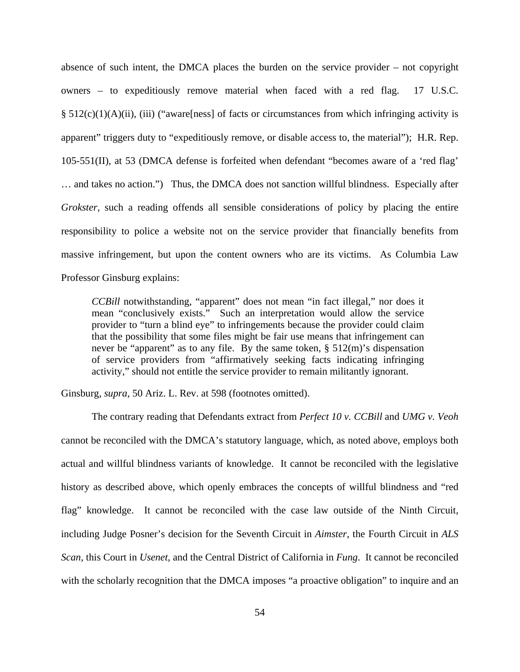absence of such intent, the DMCA places the burden on the service provider – not copyright owners – to expeditiously remove material when faced with a red flag. 17 U.S.C.  $§ 512(c)(1)(A)(ii)$ , (iii) ("aware[ness] of facts or circumstances from which infringing activity is apparent" triggers duty to "expeditiously remove, or disable access to, the material"); H.R. Rep. 105-551(II), at 53 (DMCA defense is forfeited when defendant "becomes aware of a 'red flag' … and takes no action.") Thus, the DMCA does not sanction willful blindness. Especially after *Grokster*, such a reading offends all sensible considerations of policy by placing the entire responsibility to police a website not on the service provider that financially benefits from massive infringement, but upon the content owners who are its victims. As Columbia Law Professor Ginsburg explains:

*CCBill* notwithstanding, "apparent" does not mean "in fact illegal," nor does it mean "conclusively exists." Such an interpretation would allow the service provider to "turn a blind eye" to infringements because the provider could claim that the possibility that some files might be fair use means that infringement can never be "apparent" as to any file. By the same token, § 512(m)'s dispensation of service providers from "affirmatively seeking facts indicating infringing activity," should not entitle the service provider to remain militantly ignorant.

Ginsburg*, supra*, 50 Ariz. L. Rev. at 598 (footnotes omitted).

 The contrary reading that Defendants extract from *Perfect 10 v. CCBill* and *UMG v. Veoh* cannot be reconciled with the DMCA's statutory language, which, as noted above, employs both actual and willful blindness variants of knowledge. It cannot be reconciled with the legislative history as described above, which openly embraces the concepts of willful blindness and "red flag" knowledge. It cannot be reconciled with the case law outside of the Ninth Circuit, including Judge Posner's decision for the Seventh Circuit in *Aimster*, the Fourth Circuit in *ALS Scan*, this Court in *Usenet*, and the Central District of California in *Fung*. It cannot be reconciled with the scholarly recognition that the DMCA imposes "a proactive obligation" to inquire and an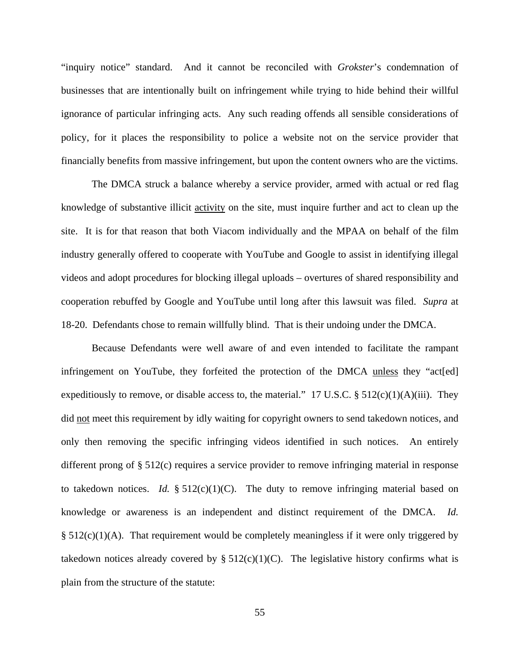"inquiry notice" standard. And it cannot be reconciled with *Grokster*'s condemnation of businesses that are intentionally built on infringement while trying to hide behind their willful ignorance of particular infringing acts. Any such reading offends all sensible considerations of policy, for it places the responsibility to police a website not on the service provider that financially benefits from massive infringement, but upon the content owners who are the victims.

The DMCA struck a balance whereby a service provider, armed with actual or red flag knowledge of substantive illicit activity on the site, must inquire further and act to clean up the site. It is for that reason that both Viacom individually and the MPAA on behalf of the film industry generally offered to cooperate with YouTube and Google to assist in identifying illegal videos and adopt procedures for blocking illegal uploads – overtures of shared responsibility and cooperation rebuffed by Google and YouTube until long after this lawsuit was filed. *Supra* at 18-20. Defendants chose to remain willfully blind. That is their undoing under the DMCA.

Because Defendants were well aware of and even intended to facilitate the rampant infringement on YouTube, they forfeited the protection of the DMCA unless they "act[ed] expeditiously to remove, or disable access to, the material." 17 U.S.C.  $\S 512(c)(1)(A)(iii)$ . They did not meet this requirement by idly waiting for copyright owners to send takedown notices, and only then removing the specific infringing videos identified in such notices. An entirely different prong of § 512(c) requires a service provider to remove infringing material in response to takedown notices. *Id.*  $\S 512(c)(1)(C)$ . The duty to remove infringing material based on knowledge or awareness is an independent and distinct requirement of the DMCA. *Id.*  $§ 512(c)(1)(A)$ . That requirement would be completely meaningless if it were only triggered by takedown notices already covered by  $\S 512(c)(1)(C)$ . The legislative history confirms what is plain from the structure of the statute: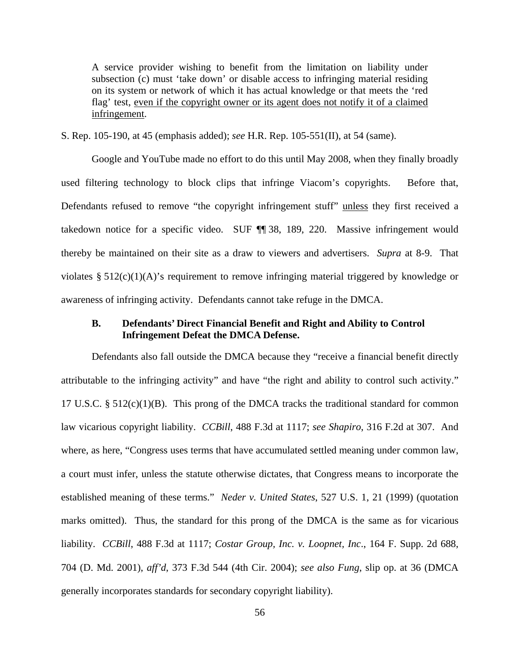A service provider wishing to benefit from the limitation on liability under subsection (c) must 'take down' or disable access to infringing material residing on its system or network of which it has actual knowledge or that meets the 'red flag' test, even if the copyright owner or its agent does not notify it of a claimed infringement.

S. Rep. 105-190, at 45 (emphasis added); *see* H.R. Rep. 105-551(II), at 54 (same).

Google and YouTube made no effort to do this until May 2008, when they finally broadly used filtering technology to block clips that infringe Viacom's copyrights. Before that, Defendants refused to remove "the copyright infringement stuff" unless they first received a takedown notice for a specific video. SUF ¶¶ 38, 189, 220. Massive infringement would thereby be maintained on their site as a draw to viewers and advertisers. *Supra* at 8-9. That violates § 512(c)(1)(A)'s requirement to remove infringing material triggered by knowledge or awareness of infringing activity. Defendants cannot take refuge in the DMCA.

## **B. Defendants' Direct Financial Benefit and Right and Ability to Control Infringement Defeat the DMCA Defense.**

Defendants also fall outside the DMCA because they "receive a financial benefit directly attributable to the infringing activity" and have "the right and ability to control such activity." 17 U.S.C.  $\S$  512(c)(1)(B). This prong of the DMCA tracks the traditional standard for common law vicarious copyright liability. *CCBill*, 488 F.3d at 1117; *see Shapiro*, 316 F.2d at 307. And where, as here, "Congress uses terms that have accumulated settled meaning under common law, a court must infer, unless the statute otherwise dictates, that Congress means to incorporate the established meaning of these terms." *Neder v. United States*, 527 U.S. 1, 21 (1999) (quotation marks omitted). Thus, the standard for this prong of the DMCA is the same as for vicarious liability. *CCBill*, 488 F.3d at 1117; *Costar Group, Inc. v. Loopnet, Inc*., 164 F. Supp. 2d 688, 704 (D. Md. 2001), *aff'd*, 373 F.3d 544 (4th Cir. 2004); *see also Fung*, slip op. at 36 (DMCA generally incorporates standards for secondary copyright liability).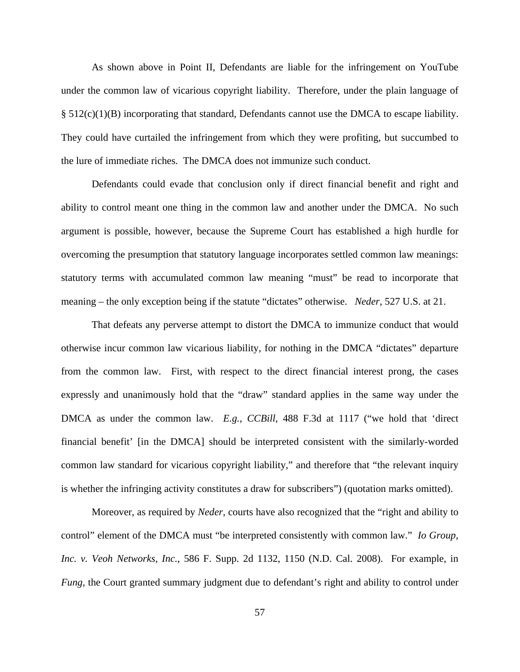As shown above in Point II, Defendants are liable for the infringement on YouTube under the common law of vicarious copyright liability. Therefore, under the plain language of § 512(c)(1)(B) incorporating that standard, Defendants cannot use the DMCA to escape liability. They could have curtailed the infringement from which they were profiting, but succumbed to the lure of immediate riches. The DMCA does not immunize such conduct.

Defendants could evade that conclusion only if direct financial benefit and right and ability to control meant one thing in the common law and another under the DMCA. No such argument is possible, however, because the Supreme Court has established a high hurdle for overcoming the presumption that statutory language incorporates settled common law meanings: statutory terms with accumulated common law meaning "must" be read to incorporate that meaning – the only exception being if the statute "dictates" otherwise. *Neder*, 527 U.S. at 21.

That defeats any perverse attempt to distort the DMCA to immunize conduct that would otherwise incur common law vicarious liability, for nothing in the DMCA "dictates" departure from the common law. First, with respect to the direct financial interest prong, the cases expressly and unanimously hold that the "draw" standard applies in the same way under the DMCA as under the common law. *E.g.*, *CCBill*, 488 F.3d at 1117 ("we hold that 'direct financial benefit' [in the DMCA] should be interpreted consistent with the similarly-worded common law standard for vicarious copyright liability," and therefore that "the relevant inquiry is whether the infringing activity constitutes a draw for subscribers") (quotation marks omitted).

Moreover, as required by *Neder*, courts have also recognized that the "right and ability to control" element of the DMCA must "be interpreted consistently with common law." *Io Group, Inc. v. Veoh Networks, Inc.*, 586 F. Supp. 2d 1132, 1150 (N.D. Cal. 2008). For example, in *Fung*, the Court granted summary judgment due to defendant's right and ability to control under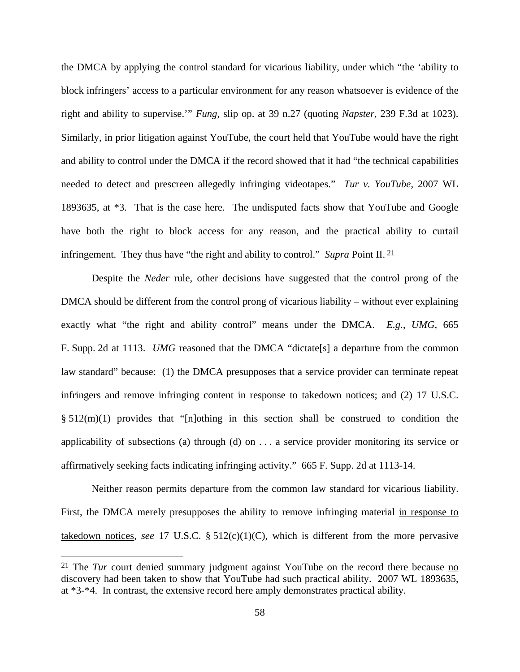the DMCA by applying the control standard for vicarious liability, under which "the 'ability to block infringers' access to a particular environment for any reason whatsoever is evidence of the right and ability to supervise.'" *Fung*, slip op. at 39 n.27 (quoting *Napster*, 239 F.3d at 1023). Similarly, in prior litigation against YouTube, the court held that YouTube would have the right and ability to control under the DMCA if the record showed that it had "the technical capabilities needed to detect and prescreen allegedly infringing videotapes." *Tur v. YouTube*, 2007 WL 1893635, at \*3. That is the case here. The undisputed facts show that YouTube and Google have both the right to block access for any reason, and the practical ability to curtail infringement. They thus have "the right and ability to control." *Supra* Point II. 21

Despite the *Neder* rule, other decisions have suggested that the control prong of the DMCA should be different from the control prong of vicarious liability – without ever explaining exactly what "the right and ability control" means under the DMCA. *E.g.*, *UMG*, 665 F. Supp. 2d at 1113. *UMG* reasoned that the DMCA "dictate[s] a departure from the common law standard" because: (1) the DMCA presupposes that a service provider can terminate repeat infringers and remove infringing content in response to takedown notices; and (2) 17 U.S.C. § 512(m)(1) provides that "[n]othing in this section shall be construed to condition the applicability of subsections (a) through (d) on . . . a service provider monitoring its service or affirmatively seeking facts indicating infringing activity." 665 F. Supp. 2d at 1113-14.

Neither reason permits departure from the common law standard for vicarious liability. First, the DMCA merely presupposes the ability to remove infringing material in response to takedown notices, *see* 17 U.S.C. § 512(c)(1)(C), which is different from the more pervasive

1

<sup>21</sup> The *Tur* court denied summary judgment against YouTube on the record there because no discovery had been taken to show that YouTube had such practical ability. 2007 WL 1893635, at \*3-\*4. In contrast, the extensive record here amply demonstrates practical ability.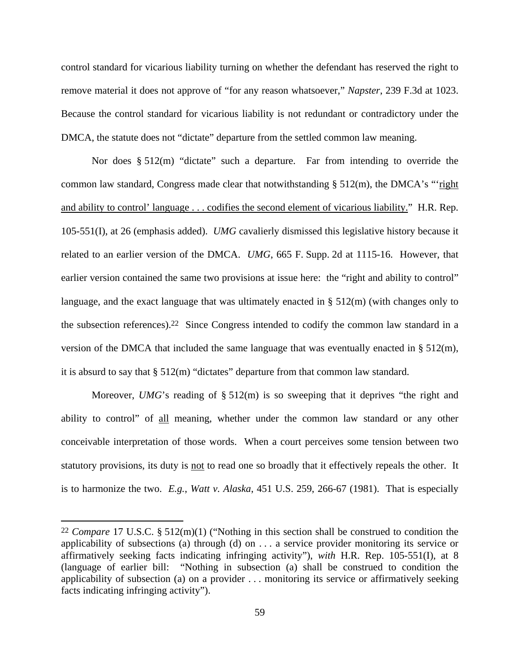control standard for vicarious liability turning on whether the defendant has reserved the right to remove material it does not approve of "for any reason whatsoever," *Napster*, 239 F.3d at 1023. Because the control standard for vicarious liability is not redundant or contradictory under the DMCA, the statute does not "dictate" departure from the settled common law meaning.

Nor does  $\S 512(m)$  "dictate" such a departure. Far from intending to override the common law standard, Congress made clear that notwithstanding  $\S 512(m)$ , the DMCA's "right and ability to control' language . . . codifies the second element of vicarious liability." H.R. Rep. 105-551(I), at 26 (emphasis added). *UMG* cavalierly dismissed this legislative history because it related to an earlier version of the DMCA. *UMG*, 665 F. Supp. 2d at 1115-16. However, that earlier version contained the same two provisions at issue here: the "right and ability to control" language, and the exact language that was ultimately enacted in § 512(m) (with changes only to the subsection references).22 Since Congress intended to codify the common law standard in a version of the DMCA that included the same language that was eventually enacted in § 512(m), it is absurd to say that § 512(m) "dictates" departure from that common law standard.

Moreover, *UMG*'s reading of § 512(m) is so sweeping that it deprives "the right and ability to control" of all meaning, whether under the common law standard or any other conceivable interpretation of those words. When a court perceives some tension between two statutory provisions, its duty is <u>not</u> to read one so broadly that it effectively repeals the other. It is to harmonize the two. *E.g.*, *Watt v. Alaska*, 451 U.S. 259, 266-67 (1981). That is especially

<u>.</u>

<sup>22</sup> *Compare* 17 U.S.C. § 512(m)(1) ("Nothing in this section shall be construed to condition the applicability of subsections (a) through (d) on . . . a service provider monitoring its service or affirmatively seeking facts indicating infringing activity"), *with* H.R. Rep. 105-551(I), at 8 (language of earlier bill: "Nothing in subsection (a) shall be construed to condition the applicability of subsection (a) on a provider . . . monitoring its service or affirmatively seeking facts indicating infringing activity").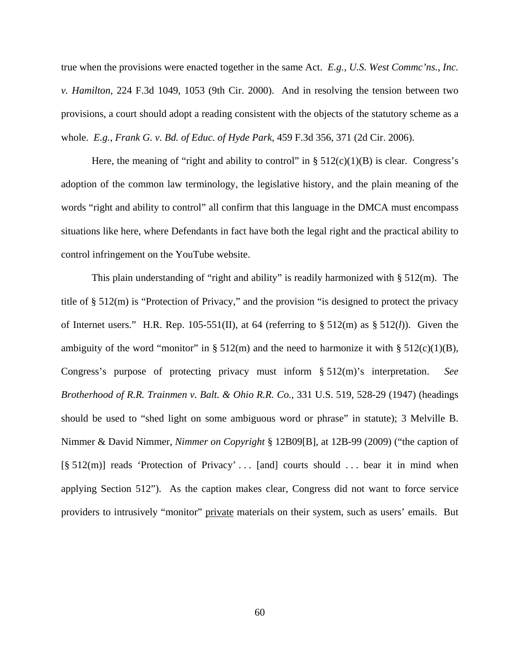true when the provisions were enacted together in the same Act. *E.g.*, *U.S. West Commc'ns., Inc. v. Hamilton*, 224 F.3d 1049, 1053 (9th Cir. 2000). And in resolving the tension between two provisions, a court should adopt a reading consistent with the objects of the statutory scheme as a whole. *E.g.*, *Frank G. v. Bd. of Educ. of Hyde Park*, 459 F.3d 356, 371 (2d Cir. 2006).

Here, the meaning of "right and ability to control" in  $\S 512(c)(1)(B)$  is clear. Congress's adoption of the common law terminology, the legislative history, and the plain meaning of the words "right and ability to control" all confirm that this language in the DMCA must encompass situations like here, where Defendants in fact have both the legal right and the practical ability to control infringement on the YouTube website.

This plain understanding of "right and ability" is readily harmonized with  $\S$  512(m). The title of § 512(m) is "Protection of Privacy," and the provision "is designed to protect the privacy of Internet users." H.R. Rep.  $105-551(II)$ , at 64 (referring to §  $512(m)$  as §  $512(I)$ ). Given the ambiguity of the word "monitor" in § 512(m) and the need to harmonize it with § 512(c)(1)(B), Congress's purpose of protecting privacy must inform § 512(m)'s interpretation. *See Brotherhood of R.R. Trainmen v. Balt. & Ohio R.R. Co.*, 331 U.S. 519, 528-29 (1947) (headings should be used to "shed light on some ambiguous word or phrase" in statute); 3 Melville B. Nimmer & David Nimmer, *Nimmer on Copyright* § 12B09[B], at 12B-99 (2009) ("the caption of  $[\S 512(m)]$  reads 'Protection of Privacy' ... [and] courts should ... bear it in mind when applying Section 512"). As the caption makes clear, Congress did not want to force service providers to intrusively "monitor" private materials on their system, such as users' emails. But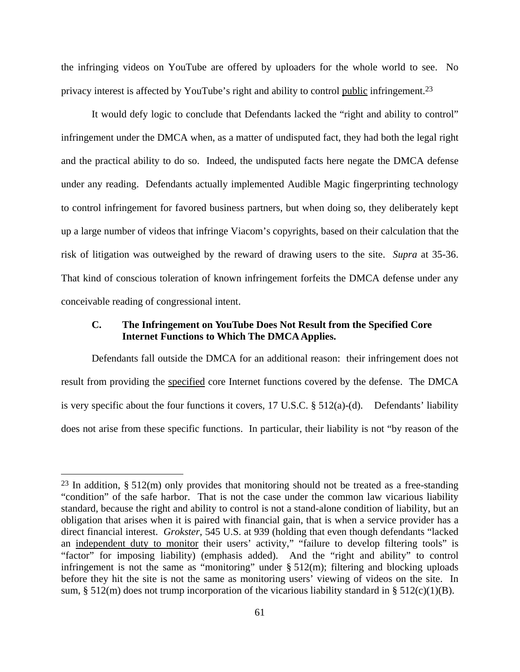the infringing videos on YouTube are offered by uploaders for the whole world to see. No privacy interest is affected by YouTube's right and ability to control public infringement.23

It would defy logic to conclude that Defendants lacked the "right and ability to control" infringement under the DMCA when, as a matter of undisputed fact, they had both the legal right and the practical ability to do so. Indeed, the undisputed facts here negate the DMCA defense under any reading. Defendants actually implemented Audible Magic fingerprinting technology to control infringement for favored business partners, but when doing so, they deliberately kept up a large number of videos that infringe Viacom's copyrights, based on their calculation that the risk of litigation was outweighed by the reward of drawing users to the site. *Supra* at 35-36. That kind of conscious toleration of known infringement forfeits the DMCA defense under any conceivable reading of congressional intent.

### **C. The Infringement on YouTube Does Not Result from the Specified Core Internet Functions to Which The DMCA Applies.**

Defendants fall outside the DMCA for an additional reason: their infringement does not result from providing the specified core Internet functions covered by the defense. The DMCA is very specific about the four functions it covers, 17 U.S.C. § 512(a)-(d). Defendants' liability does not arise from these specific functions. In particular, their liability is not "by reason of the

 $\overline{a}$ 

 $23$  In addition, § 512(m) only provides that monitoring should not be treated as a free-standing "condition" of the safe harbor. That is not the case under the common law vicarious liability standard, because the right and ability to control is not a stand-alone condition of liability, but an obligation that arises when it is paired with financial gain, that is when a service provider has a direct financial interest. *Grokster*, 545 U.S. at 939 (holding that even though defendants "lacked an independent duty to monitor their users' activity," "failure to develop filtering tools" is "factor" for imposing liability) (emphasis added). And the "right and ability" to control infringement is not the same as "monitoring" under § 512(m); filtering and blocking uploads before they hit the site is not the same as monitoring users' viewing of videos on the site. In sum, § 512(m) does not trump incorporation of the vicarious liability standard in § 512(c)(1)(B).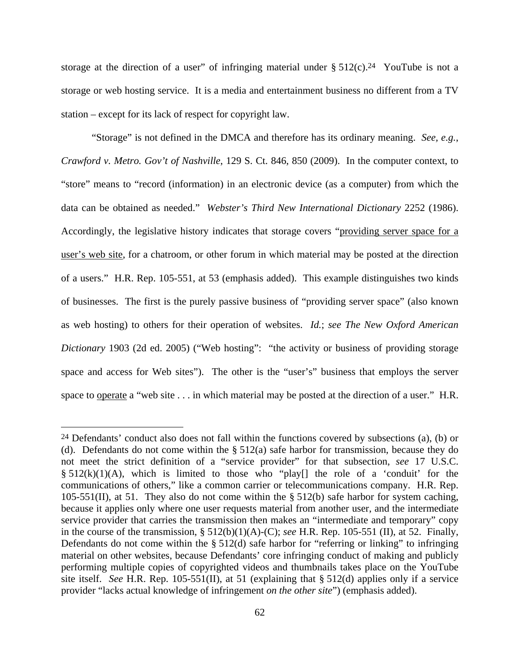storage at the direction of a user" of infringing material under  $\S 512(c).<sup>24</sup>$  YouTube is not a storage or web hosting service. It is a media and entertainment business no different from a TV station – except for its lack of respect for copyright law.

"Storage" is not defined in the DMCA and therefore has its ordinary meaning. *See, e.g.*, *Crawford v. Metro. Gov't of Nashville*, 129 S. Ct. 846, 850 (2009). In the computer context, to "store" means to "record (information) in an electronic device (as a computer) from which the data can be obtained as needed." *Webster's Third New International Dictionary* 2252 (1986). Accordingly, the legislative history indicates that storage covers "providing server space for a user's web site, for a chatroom, or other forum in which material may be posted at the direction of a users." H.R. Rep. 105-551, at 53 (emphasis added). This example distinguishes two kinds of businesses. The first is the purely passive business of "providing server space" (also known as web hosting) to others for their operation of websites. *Id.*; *see The New Oxford American Dictionary* 1903 (2d ed. 2005) ("Web hosting": "the activity or business of providing storage space and access for Web sites"). The other is the "user's" business that employs the server space to operate a "web site . . . in which material may be posted at the direction of a user." H.R.

 $\overline{a}$ 

<sup>24</sup> Defendants' conduct also does not fall within the functions covered by subsections (a), (b) or (d). Defendants do not come within the § 512(a) safe harbor for transmission, because they do not meet the strict definition of a "service provider" for that subsection, *see* 17 U.S.C.  $\S 512(k)(1)(A)$ , which is limited to those who "play[] the role of a 'conduit' for the communications of others," like a common carrier or telecommunications company. H.R. Rep. 105-551(II), at 51. They also do not come within the  $\S$  512(b) safe harbor for system caching, because it applies only where one user requests material from another user, and the intermediate service provider that carries the transmission then makes an "intermediate and temporary" copy in the course of the transmission, § 512(b)(1)(A)-(C); *see* H.R. Rep. 105-551 (II), at 52. Finally, Defendants do not come within the § 512(d) safe harbor for "referring or linking" to infringing material on other websites, because Defendants' core infringing conduct of making and publicly performing multiple copies of copyrighted videos and thumbnails takes place on the YouTube site itself. *See* H.R. Rep. 105-551(II), at 51 (explaining that § 512(d) applies only if a service provider "lacks actual knowledge of infringement *on the other site*") (emphasis added).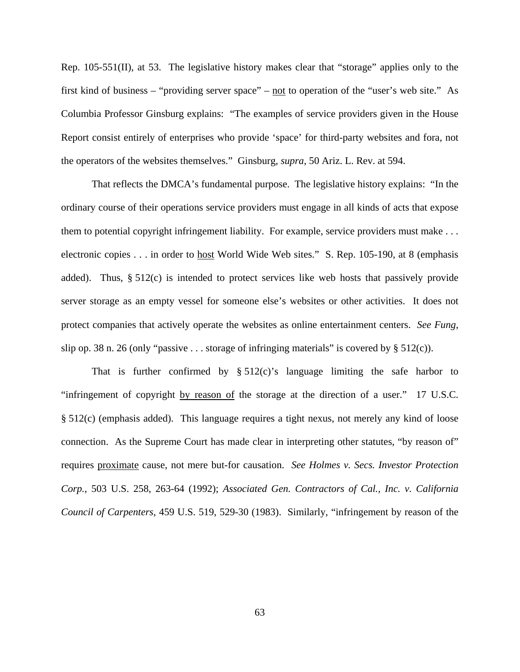Rep. 105-551(II), at 53. The legislative history makes clear that "storage" applies only to the first kind of business – "providing server space" – not to operation of the "user's web site." As Columbia Professor Ginsburg explains: "The examples of service providers given in the House Report consist entirely of enterprises who provide 'space' for third-party websites and fora, not the operators of the websites themselves." Ginsburg, *supra*, 50 Ariz. L. Rev. at 594.

That reflects the DMCA's fundamental purpose. The legislative history explains: "In the ordinary course of their operations service providers must engage in all kinds of acts that expose them to potential copyright infringement liability. For example, service providers must make . . . electronic copies . . . in order to host World Wide Web sites." S. Rep. 105-190, at 8 (emphasis added). Thus, § 512(c) is intended to protect services like web hosts that passively provide server storage as an empty vessel for someone else's websites or other activities. It does not protect companies that actively operate the websites as online entertainment centers. *See Fung*, slip op. 38 n. 26 (only "passive . . . storage of infringing materials" is covered by  $\S 512(c)$ ).

That is further confirmed by  $\S 512(c)$ 's language limiting the safe harbor to "infringement of copyright by reason of the storage at the direction of a user." 17 U.S.C. § 512(c) (emphasis added). This language requires a tight nexus, not merely any kind of loose connection. As the Supreme Court has made clear in interpreting other statutes, "by reason of" requires proximate cause, not mere but-for causation. *See Holmes v. Secs. Investor Protection Corp.*, 503 U.S. 258, 263-64 (1992); *Associated Gen. Contractors of Cal., Inc. v. California Council of Carpenters*, 459 U.S. 519, 529-30 (1983). Similarly, "infringement by reason of the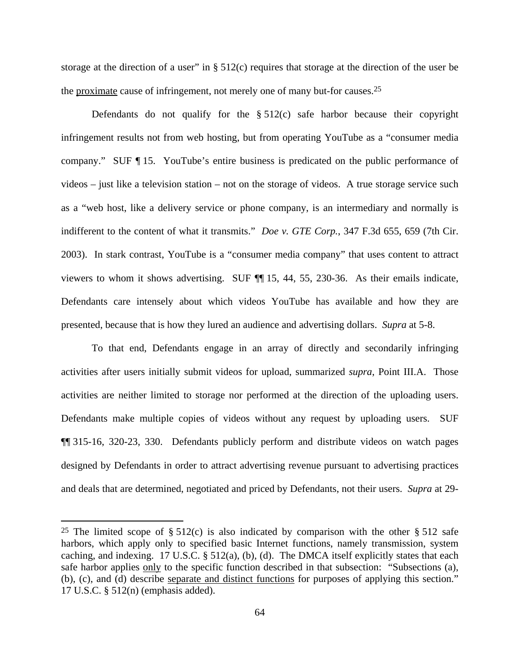storage at the direction of a user" in  $\S 512(c)$  requires that storage at the direction of the user be the proximate cause of infringement, not merely one of many but-for causes.25

Defendants do not qualify for the  $\S$  512(c) safe harbor because their copyright infringement results not from web hosting, but from operating YouTube as a "consumer media company." SUF ¶ 15. YouTube's entire business is predicated on the public performance of videos – just like a television station – not on the storage of videos. A true storage service such as a "web host, like a delivery service or phone company, is an intermediary and normally is indifferent to the content of what it transmits." *Doe v. GTE Corp.*, 347 F.3d 655, 659 (7th Cir. 2003). In stark contrast, YouTube is a "consumer media company" that uses content to attract viewers to whom it shows advertising. SUF ¶¶ 15, 44, 55, 230-36. As their emails indicate, Defendants care intensely about which videos YouTube has available and how they are presented, because that is how they lured an audience and advertising dollars. *Supra* at 5-8.

To that end, Defendants engage in an array of directly and secondarily infringing activities after users initially submit videos for upload, summarized *supra*, Point III.A. Those activities are neither limited to storage nor performed at the direction of the uploading users. Defendants make multiple copies of videos without any request by uploading users. SUF ¶¶ 315-16, 320-23, 330. Defendants publicly perform and distribute videos on watch pages designed by Defendants in order to attract advertising revenue pursuant to advertising practices and deals that are determined, negotiated and priced by Defendants, not their users. *Supra* at 29-

 $\overline{a}$ 

<sup>&</sup>lt;sup>25</sup> The limited scope of  $\S 512(c)$  is also indicated by comparison with the other  $\S 512$  safe harbors, which apply only to specified basic Internet functions, namely transmission, system caching, and indexing. 17 U.S.C. § 512(a), (b), (d). The DMCA itself explicitly states that each safe harbor applies only to the specific function described in that subsection: "Subsections (a), (b), (c), and (d) describe separate and distinct functions for purposes of applying this section." 17 U.S.C. § 512(n) (emphasis added).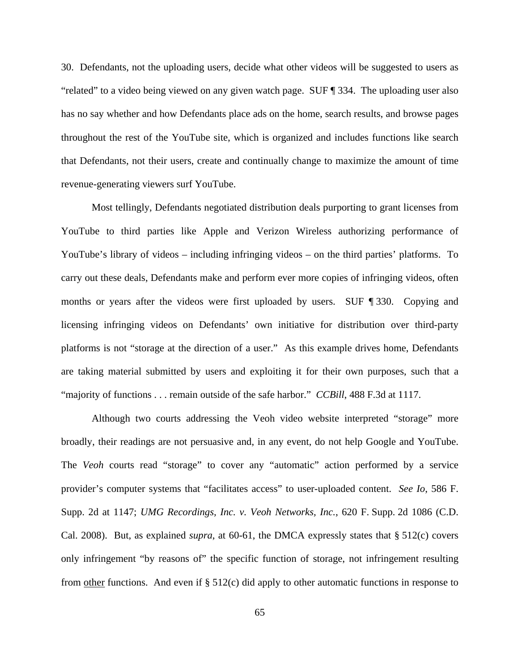30. Defendants, not the uploading users, decide what other videos will be suggested to users as "related" to a video being viewed on any given watch page. SUF ¶ 334. The uploading user also has no say whether and how Defendants place ads on the home, search results, and browse pages throughout the rest of the YouTube site, which is organized and includes functions like search that Defendants, not their users, create and continually change to maximize the amount of time revenue-generating viewers surf YouTube.

Most tellingly, Defendants negotiated distribution deals purporting to grant licenses from YouTube to third parties like Apple and Verizon Wireless authorizing performance of YouTube's library of videos – including infringing videos – on the third parties' platforms. To carry out these deals, Defendants make and perform ever more copies of infringing videos, often months or years after the videos were first uploaded by users. SUF ¶ 330. Copying and licensing infringing videos on Defendants' own initiative for distribution over third-party platforms is not "storage at the direction of a user." As this example drives home, Defendants are taking material submitted by users and exploiting it for their own purposes, such that a "majority of functions . . . remain outside of the safe harbor." *CCBill*, 488 F.3d at 1117.

Although two courts addressing the Veoh video website interpreted "storage" more broadly, their readings are not persuasive and, in any event, do not help Google and YouTube. The *Veoh* courts read "storage" to cover any "automatic" action performed by a service provider's computer systems that "facilitates access" to user-uploaded content. *See Io*, 586 F. Supp. 2d at 1147; *UMG Recordings, Inc. v. Veoh Networks, Inc.*, 620 F. Supp. 2d 1086 (C.D. Cal. 2008). But, as explained *supra*, at 60-61, the DMCA expressly states that § 512(c) covers only infringement "by reasons of" the specific function of storage, not infringement resulting from other functions. And even if § 512(c) did apply to other automatic functions in response to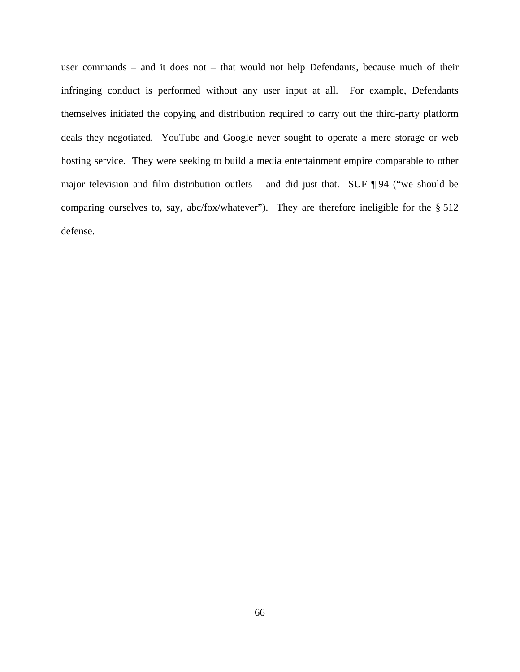user commands – and it does not – that would not help Defendants, because much of their infringing conduct is performed without any user input at all. For example, Defendants themselves initiated the copying and distribution required to carry out the third-party platform deals they negotiated. YouTube and Google never sought to operate a mere storage or web hosting service. They were seeking to build a media entertainment empire comparable to other major television and film distribution outlets – and did just that. SUF  $\P$ 94 ("we should be comparing ourselves to, say, abc/fox/whatever"). They are therefore ineligible for the § 512 defense.